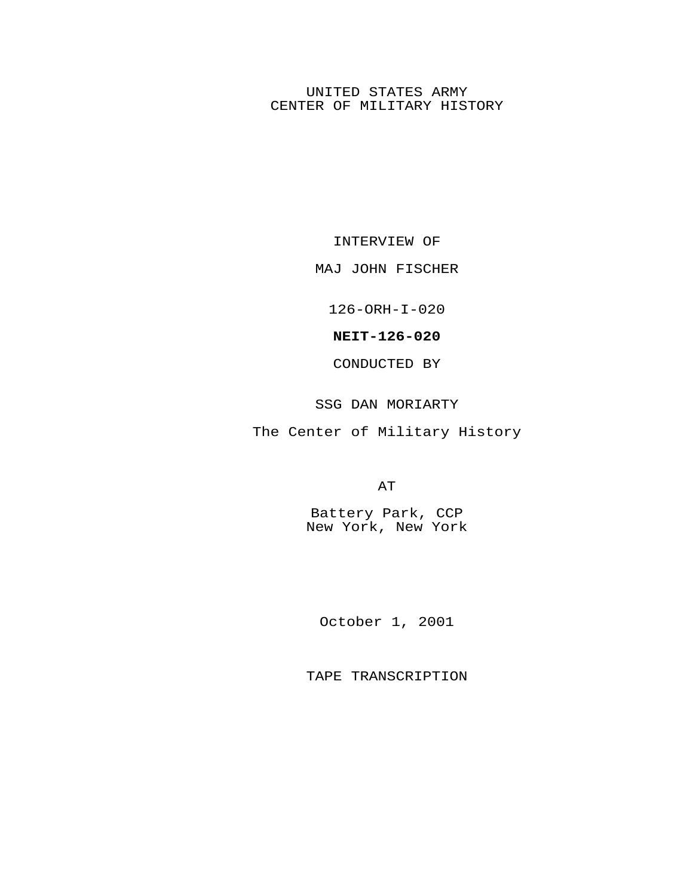## UNITED STATES ARMY CENTER OF MILITARY HISTORY

INTERVIEW OF

#### MAJ JOHN FISCHER

126-ORH-I-020

## **NEIT-126-020**

CONDUCTED BY

# SSG DAN MORIARTY

The Center of Military History

AT

Battery Park, CCP New York, New York

October 1, 2001

TAPE TRANSCRIPTION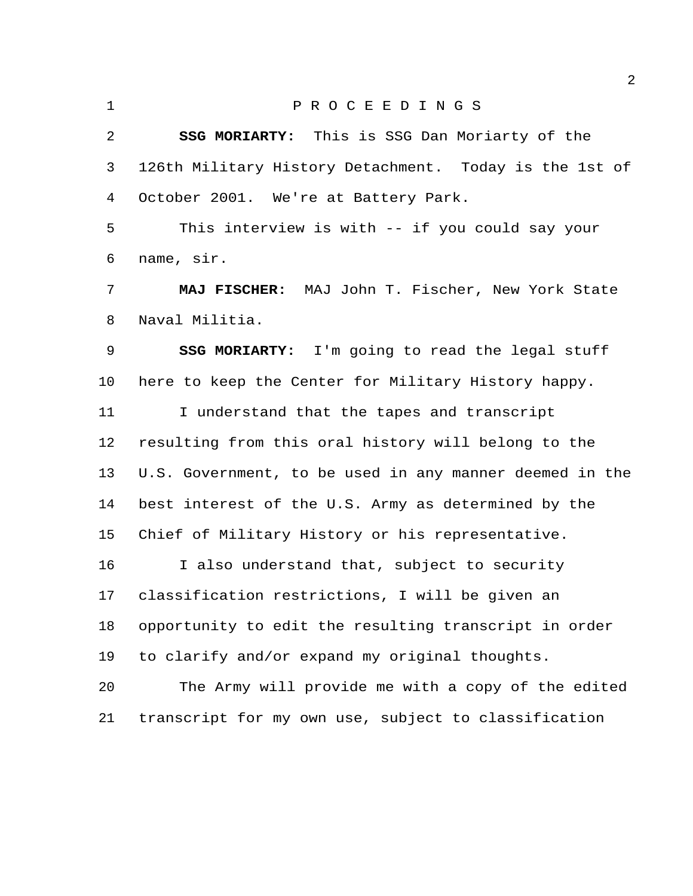P R O C E E D I N G S **SSG MORIARTY:** This is SSG Dan Moriarty of the 126th Military History Detachment. Today is the 1st of October 2001. We're at Battery Park. This interview is with -- if you could say your name, sir. **MAJ FISCHER:** MAJ John T. Fischer, New York State Naval Militia. **SSG MORIARTY:** I'm going to read the legal stuff here to keep the Center for Military History happy. I understand that the tapes and transcript resulting from this oral history will belong to the U.S. Government, to be used in any manner deemed in the best interest of the U.S. Army as determined by the Chief of Military History or his representative. I also understand that, subject to security classification restrictions, I will be given an opportunity to edit the resulting transcript in order to clarify and/or expand my original thoughts. The Army will provide me with a copy of the edited transcript for my own use, subject to classification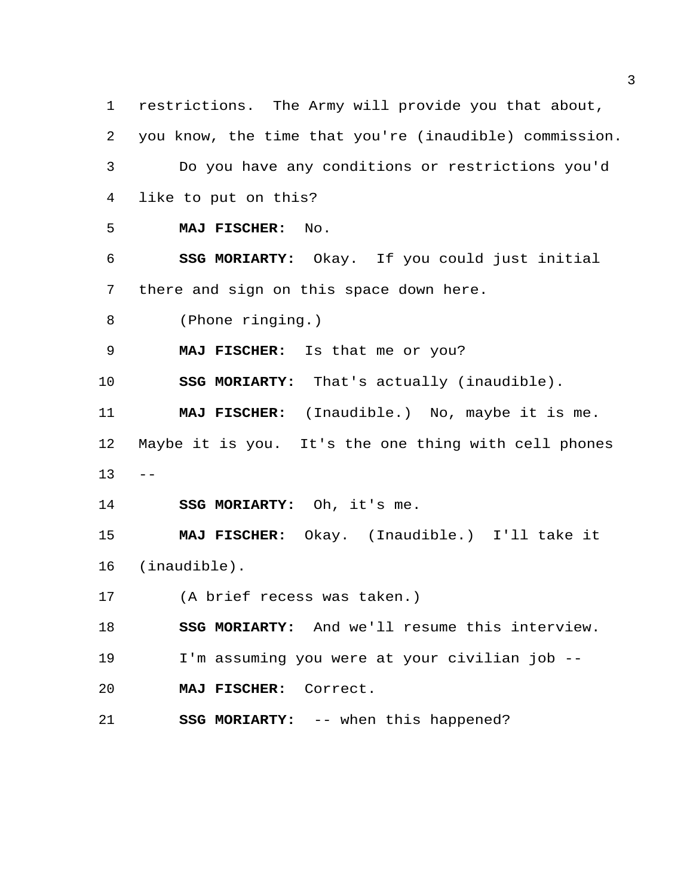restrictions. The Army will provide you that about, you know, the time that you're (inaudible) commission. Do you have any conditions or restrictions you'd like to put on this? **MAJ FISCHER:** No. **SSG MORIARTY:** Okay. If you could just initial there and sign on this space down here. (Phone ringing.) **MAJ FISCHER:** Is that me or you? **SSG MORIARTY:** That's actually (inaudible). **MAJ FISCHER:** (Inaudible.) No, maybe it is me. Maybe it is you. It's the one thing with cell phones  $13 - -$  **SSG MORIARTY:** Oh, it's me. **MAJ FISCHER:** Okay. (Inaudible.) I'll take it (inaudible). (A brief recess was taken.) **SSG MORIARTY:** And we'll resume this interview. I'm assuming you were at your civilian job -- **MAJ FISCHER:** Correct. **SSG MORIARTY:** -- when this happened?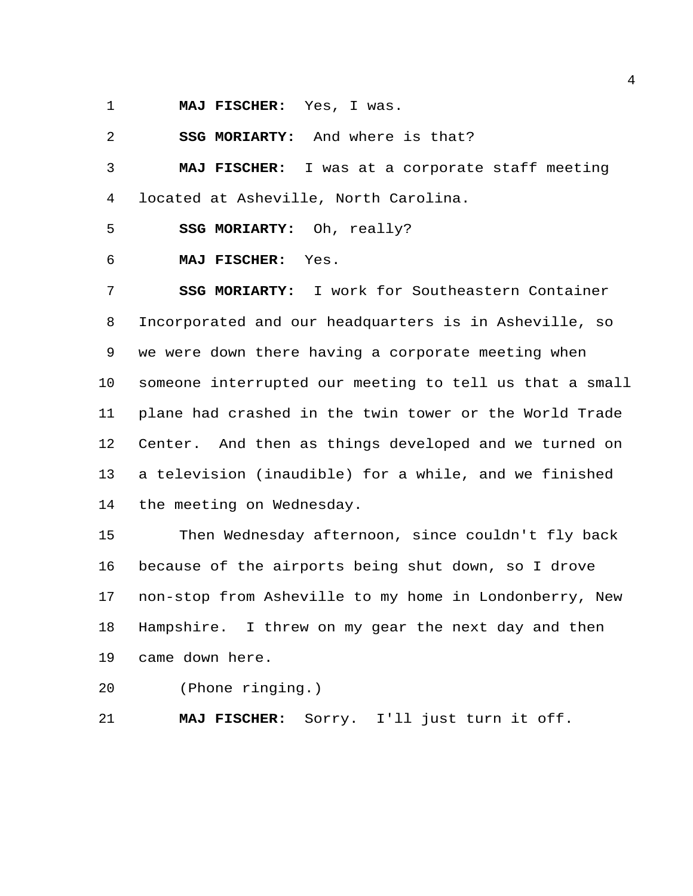**MAJ FISCHER:** Yes, I was.

**SSG MORIARTY:** And where is that?

 **MAJ FISCHER:** I was at a corporate staff meeting located at Asheville, North Carolina.

**SSG MORIARTY:** Oh, really?

#### **MAJ FISCHER:** Yes.

 **SSG MORIARTY:** I work for Southeastern Container Incorporated and our headquarters is in Asheville, so we were down there having a corporate meeting when someone interrupted our meeting to tell us that a small plane had crashed in the twin tower or the World Trade Center. And then as things developed and we turned on a television (inaudible) for a while, and we finished the meeting on Wednesday.

 Then Wednesday afternoon, since couldn't fly back because of the airports being shut down, so I drove non-stop from Asheville to my home in Londonberry, New Hampshire. I threw on my gear the next day and then came down here.

(Phone ringing.)

**MAJ FISCHER:** Sorry. I'll just turn it off.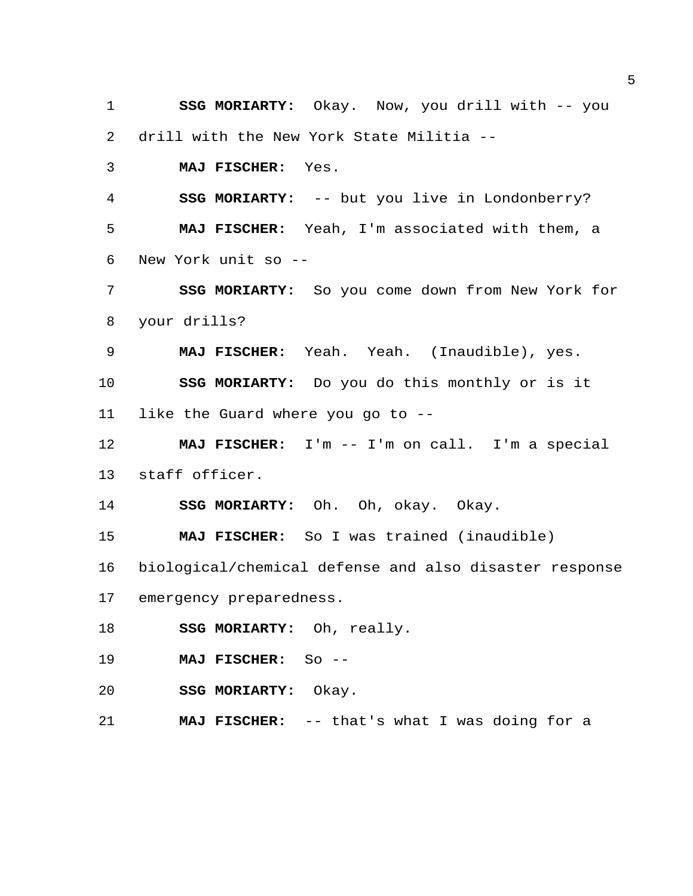**SSG MORIARTY:** Okay. Now, you drill with -- you drill with the New York State Militia --

**MAJ FISCHER:** Yes.

 **SSG MORIARTY:** -- but you live in Londonberry? **MAJ FISCHER:** Yeah, I'm associated with them, a New York unit so --

 **SSG MORIARTY:** So you come down from New York for your drills?

**MAJ FISCHER:** Yeah. Yeah. (Inaudible), yes.

**SSG MORIARTY:** Do you do this monthly or is it

like the Guard where you go to --

 **MAJ FISCHER:** I'm -- I'm on call. I'm a special staff officer.

**SSG MORIARTY:** Oh. Oh, okay. Okay.

**MAJ FISCHER:** So I was trained (inaudible)

biological/chemical defense and also disaster response

emergency preparedness.

**SSG MORIARTY:** Oh, really.

**MAJ FISCHER:** So --

**SSG MORIARTY:** Okay.

**MAJ FISCHER:** -- that's what I was doing for a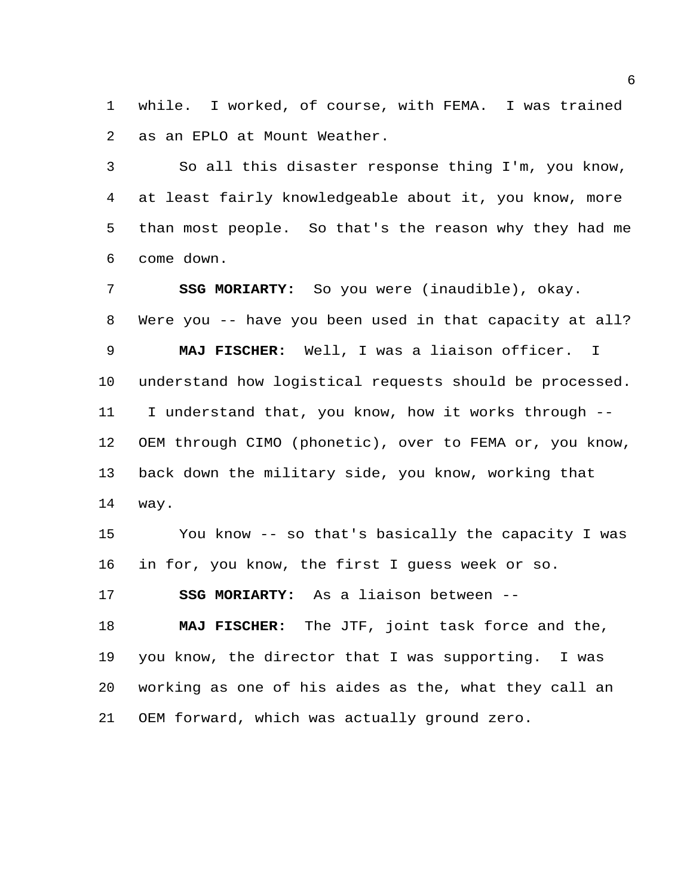while. I worked, of course, with FEMA. I was trained as an EPLO at Mount Weather.

 So all this disaster response thing I'm, you know, at least fairly knowledgeable about it, you know, more than most people. So that's the reason why they had me come down.

 **SSG MORIARTY:** So you were (inaudible), okay. Were you -- have you been used in that capacity at all? **MAJ FISCHER:** Well, I was a liaison officer. I understand how logistical requests should be processed. I understand that, you know, how it works through -- OEM through CIMO (phonetic), over to FEMA or, you know, back down the military side, you know, working that way.

 You know -- so that's basically the capacity I was in for, you know, the first I guess week or so.

**SSG MORIARTY:** As a liaison between --

 **MAJ FISCHER:** The JTF, joint task force and the, you know, the director that I was supporting. I was working as one of his aides as the, what they call an OEM forward, which was actually ground zero.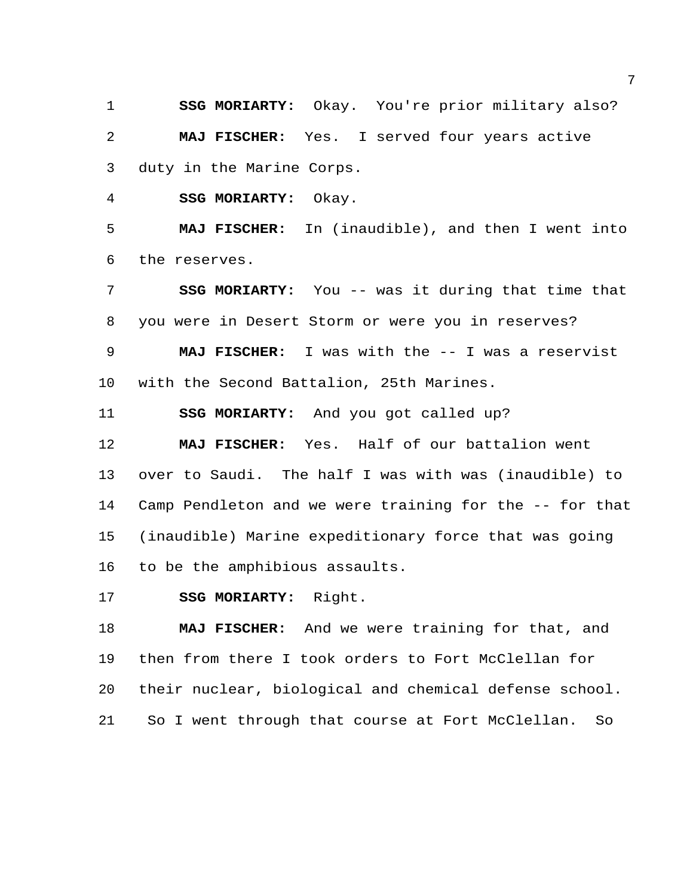**SSG MORIARTY:** Okay. You're prior military also? **MAJ FISCHER:** Yes. I served four years active duty in the Marine Corps.

**SSG MORIARTY:** Okay.

 **MAJ FISCHER:** In (inaudible), and then I went into the reserves.

 **SSG MORIARTY:** You -- was it during that time that you were in Desert Storm or were you in reserves? **MAJ FISCHER:** I was with the -- I was a reservist

with the Second Battalion, 25th Marines.

**SSG MORIARTY:** And you got called up?

 **MAJ FISCHER:** Yes. Half of our battalion went over to Saudi. The half I was with was (inaudible) to Camp Pendleton and we were training for the -- for that (inaudible) Marine expeditionary force that was going to be the amphibious assaults.

**SSG MORIARTY:** Right.

 **MAJ FISCHER:** And we were training for that, and then from there I took orders to Fort McClellan for their nuclear, biological and chemical defense school. So I went through that course at Fort McClellan. So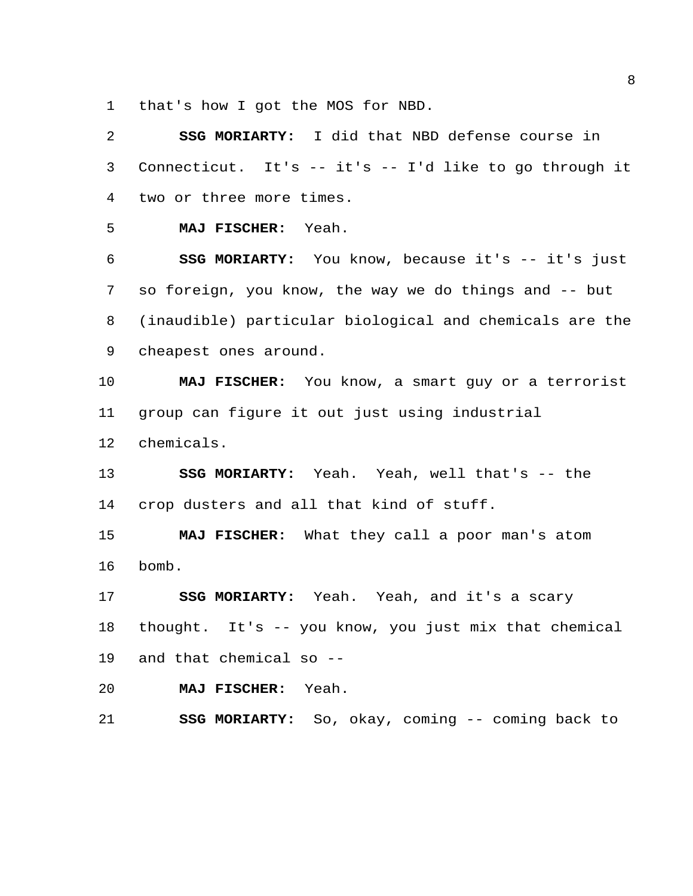that's how I got the MOS for NBD.

 **SSG MORIARTY:** I did that NBD defense course in Connecticut. It's -- it's -- I'd like to go through it two or three more times. **MAJ FISCHER:** Yeah. **SSG MORIARTY:** You know, because it's -- it's just so foreign, you know, the way we do things and -- but (inaudible) particular biological and chemicals are the cheapest ones around. **MAJ FISCHER:** You know, a smart guy or a terrorist group can figure it out just using industrial chemicals. **SSG MORIARTY:** Yeah. Yeah, well that's -- the crop dusters and all that kind of stuff. **MAJ FISCHER:** What they call a poor man's atom bomb. **SSG MORIARTY:** Yeah. Yeah, and it's a scary thought. It's -- you know, you just mix that chemical and that chemical so -- **MAJ FISCHER:** Yeah. **SSG MORIARTY:** So, okay, coming -- coming back to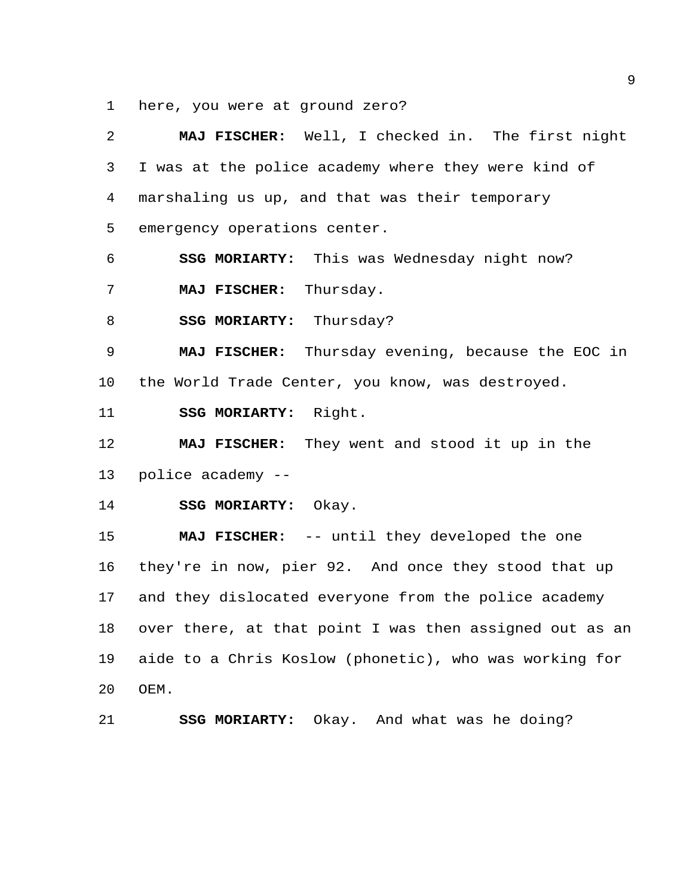here, you were at ground zero?

| 2  | MAJ FISCHER: Well, I checked in. The first night        |
|----|---------------------------------------------------------|
| 3  | I was at the police academy where they were kind of     |
| 4  | marshaling us up, and that was their temporary          |
| 5  | emergency operations center.                            |
| 6  | SSG MORIARTY: This was Wednesday night now?             |
| 7  | Thursday.<br>MAJ FISCHER:                               |
| 8  | SSG MORIARTY: Thursday?                                 |
| 9  | MAJ FISCHER: Thursday evening, because the EOC in       |
| 10 | the World Trade Center, you know, was destroyed.        |
| 11 | SSG MORIARTY: Right.                                    |
| 12 | MAJ FISCHER: They went and stood it up in the           |
| 13 | police academy --                                       |
| 14 | SSG MORIARTY: Okay.                                     |
| 15 | MAJ FISCHER: -- until they developed the one            |
| 16 | they're in now, pier 92. And once they stood that up    |
| 17 | and they dislocated everyone from the police academy    |
| 18 | over there, at that point I was then assigned out as an |
| 19 | aide to a Chris Koslow (phonetic), who was working for  |
| 20 | OEM.                                                    |
| 21 | Okay. And what was he doing?<br><b>SSG MORIARTY:</b>    |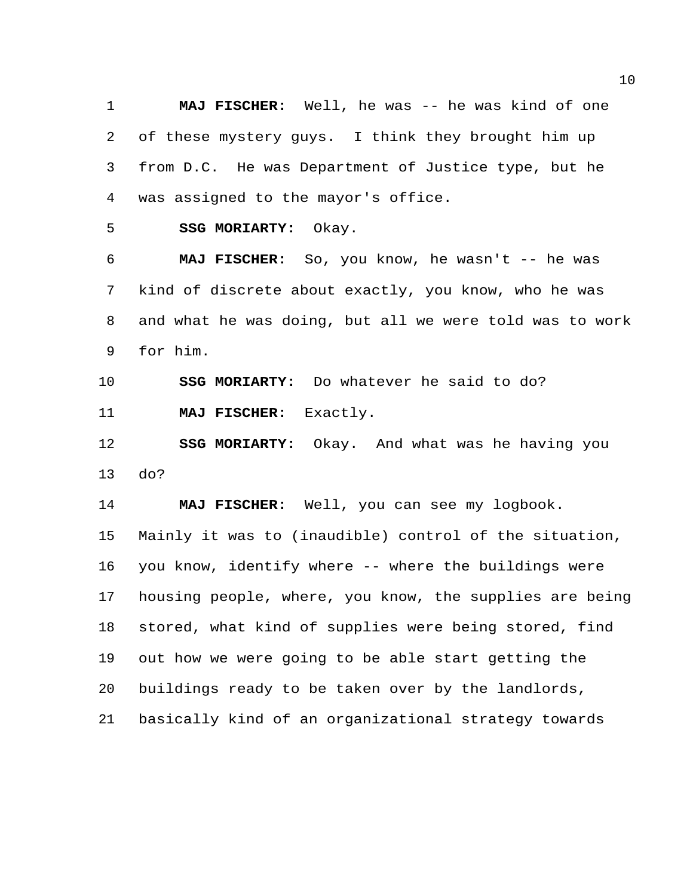**MAJ FISCHER:** Well, he was -- he was kind of one of these mystery guys. I think they brought him up from D.C. He was Department of Justice type, but he was assigned to the mayor's office.

**SSG MORIARTY:** Okay.

 **MAJ FISCHER:** So, you know, he wasn't -- he was kind of discrete about exactly, you know, who he was and what he was doing, but all we were told was to work for him.

**SSG MORIARTY:** Do whatever he said to do?

**MAJ FISCHER:** Exactly.

 **SSG MORIARTY:** Okay. And what was he having you do?

**MAJ FISCHER:** Well, you can see my logbook.

 Mainly it was to (inaudible) control of the situation, you know, identify where -- where the buildings were housing people, where, you know, the supplies are being stored, what kind of supplies were being stored, find out how we were going to be able start getting the buildings ready to be taken over by the landlords, basically kind of an organizational strategy towards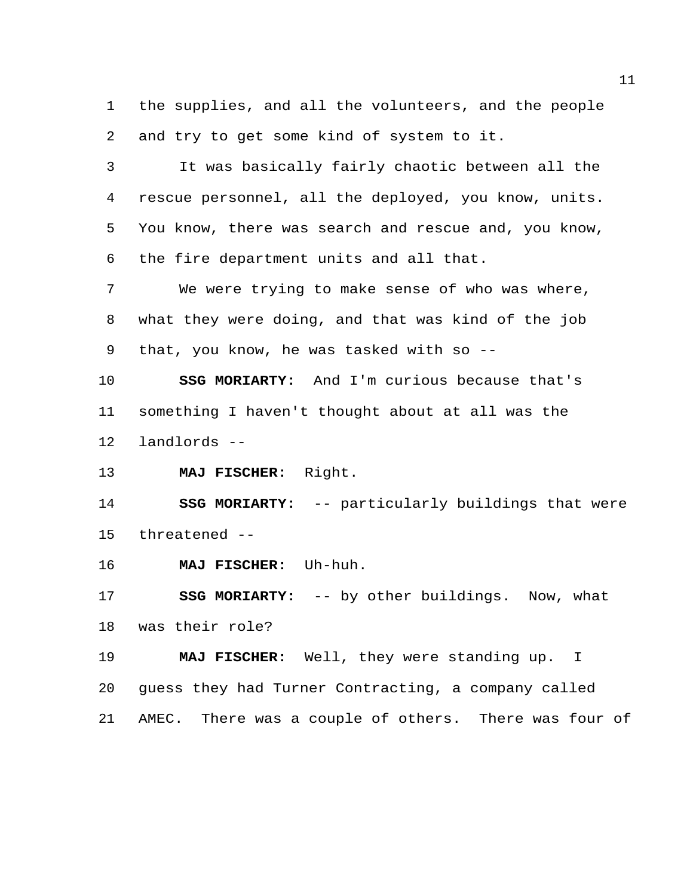the supplies, and all the volunteers, and the people and try to get some kind of system to it.

 It was basically fairly chaotic between all the rescue personnel, all the deployed, you know, units. You know, there was search and rescue and, you know, the fire department units and all that.

 We were trying to make sense of who was where, what they were doing, and that was kind of the job that, you know, he was tasked with so --

 **SSG MORIARTY:** And I'm curious because that's something I haven't thought about at all was the landlords --

**MAJ FISCHER:** Right.

 **SSG MORIARTY:** -- particularly buildings that were threatened --

**MAJ FISCHER:** Uh-huh.

 **SSG MORIARTY:** -- by other buildings. Now, what was their role?

 **MAJ FISCHER:** Well, they were standing up. I guess they had Turner Contracting, a company called AMEC. There was a couple of others. There was four of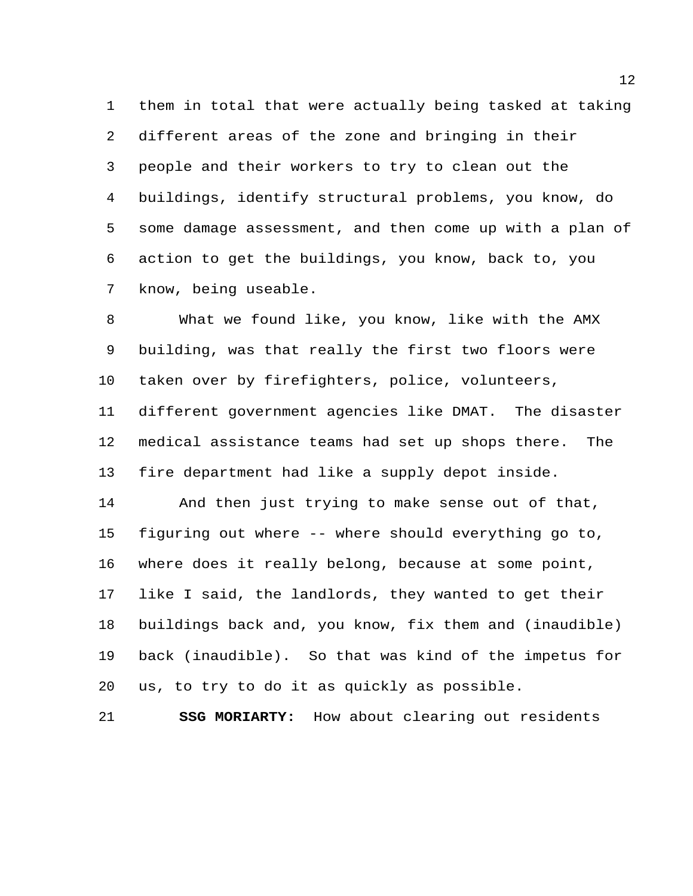them in total that were actually being tasked at taking different areas of the zone and bringing in their people and their workers to try to clean out the buildings, identify structural problems, you know, do some damage assessment, and then come up with a plan of action to get the buildings, you know, back to, you know, being useable.

 What we found like, you know, like with the AMX building, was that really the first two floors were taken over by firefighters, police, volunteers, different government agencies like DMAT. The disaster medical assistance teams had set up shops there. The fire department had like a supply depot inside.

 And then just trying to make sense out of that, figuring out where -- where should everything go to, where does it really belong, because at some point, like I said, the landlords, they wanted to get their buildings back and, you know, fix them and (inaudible) back (inaudible). So that was kind of the impetus for us, to try to do it as quickly as possible.

**SSG MORIARTY:** How about clearing out residents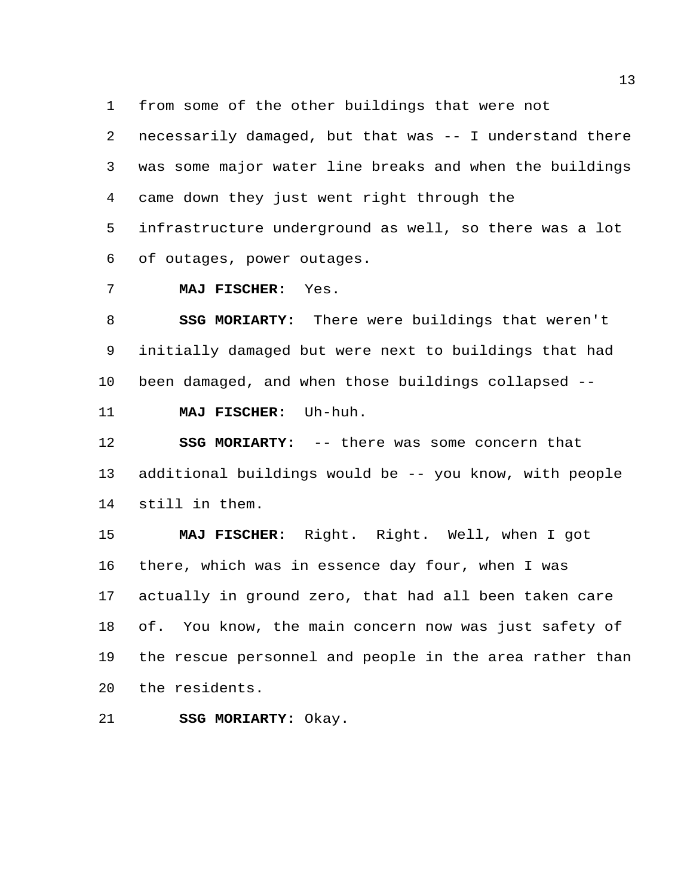from some of the other buildings that were not

 necessarily damaged, but that was -- I understand there was some major water line breaks and when the buildings came down they just went right through the

 infrastructure underground as well, so there was a lot of outages, power outages.

**MAJ FISCHER:** Yes.

 **SSG MORIARTY:** There were buildings that weren't initially damaged but were next to buildings that had been damaged, and when those buildings collapsed -- **MAJ FISCHER:** Uh-huh.

 **SSG MORIARTY:** -- there was some concern that additional buildings would be -- you know, with people still in them.

 **MAJ FISCHER:** Right. Right. Well, when I got there, which was in essence day four, when I was actually in ground zero, that had all been taken care of. You know, the main concern now was just safety of the rescue personnel and people in the area rather than the residents.

**SSG MORIARTY:** Okay.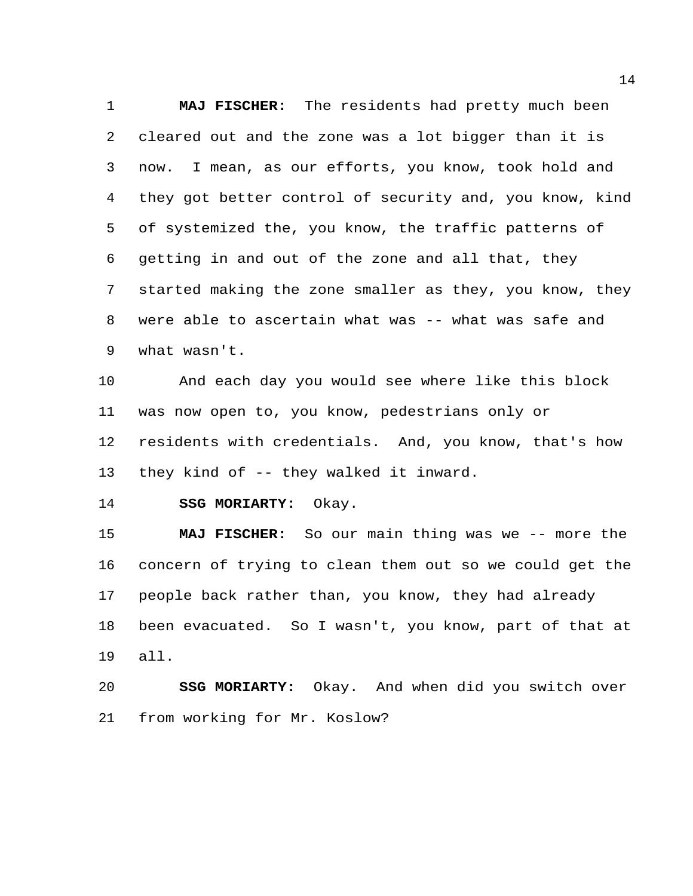**MAJ FISCHER:** The residents had pretty much been cleared out and the zone was a lot bigger than it is now. I mean, as our efforts, you know, took hold and they got better control of security and, you know, kind of systemized the, you know, the traffic patterns of getting in and out of the zone and all that, they started making the zone smaller as they, you know, they were able to ascertain what was -- what was safe and what wasn't.

 And each day you would see where like this block was now open to, you know, pedestrians only or residents with credentials. And, you know, that's how they kind of -- they walked it inward.

**SSG MORIARTY:** Okay.

 **MAJ FISCHER:** So our main thing was we -- more the concern of trying to clean them out so we could get the people back rather than, you know, they had already been evacuated. So I wasn't, you know, part of that at all.

 **SSG MORIARTY:** Okay. And when did you switch over from working for Mr. Koslow?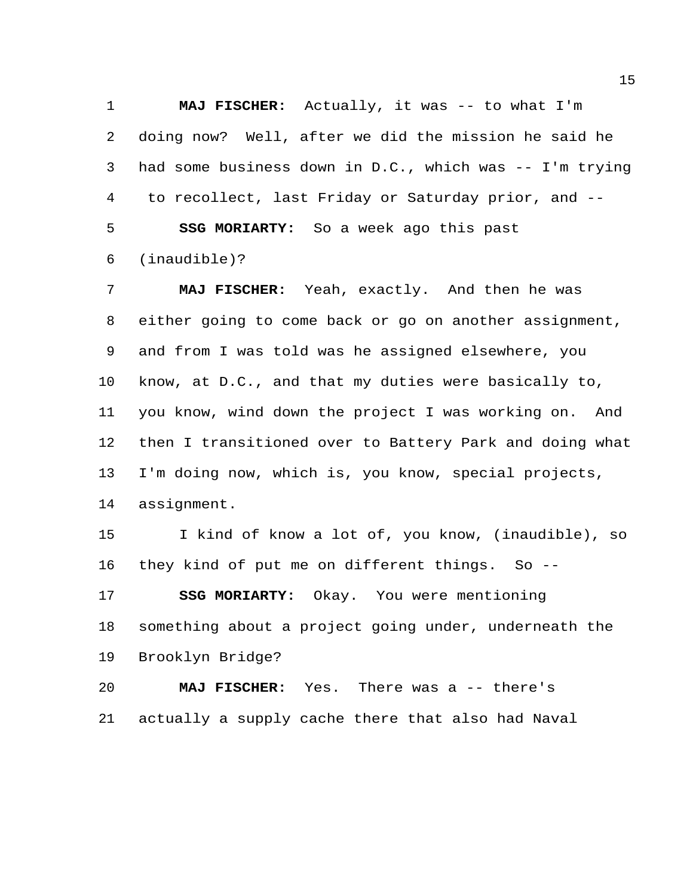**MAJ FISCHER:** Actually, it was -- to what I'm doing now? Well, after we did the mission he said he had some business down in D.C., which was -- I'm trying to recollect, last Friday or Saturday prior, and -- **SSG MORIARTY:** So a week ago this past (inaudible)?

 **MAJ FISCHER:** Yeah, exactly. And then he was either going to come back or go on another assignment, and from I was told was he assigned elsewhere, you know, at D.C., and that my duties were basically to, you know, wind down the project I was working on. And then I transitioned over to Battery Park and doing what I'm doing now, which is, you know, special projects, assignment.

 I kind of know a lot of, you know, (inaudible), so they kind of put me on different things. So --

**SSG MORIARTY:** Okay. You were mentioning

 something about a project going under, underneath the Brooklyn Bridge?

 **MAJ FISCHER:** Yes. There was a -- there's actually a supply cache there that also had Naval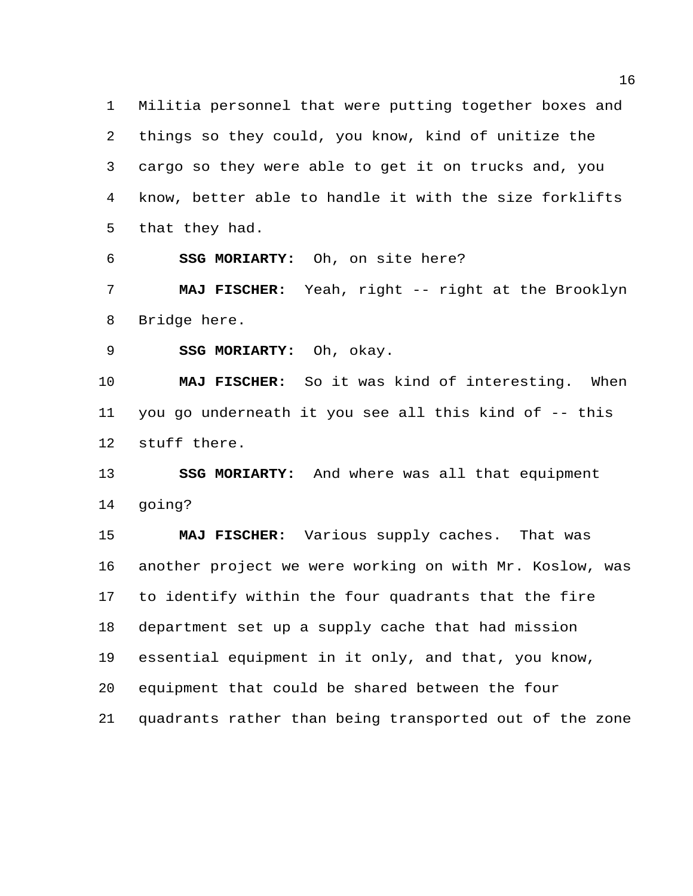Militia personnel that were putting together boxes and things so they could, you know, kind of unitize the cargo so they were able to get it on trucks and, you know, better able to handle it with the size forklifts that they had.

**SSG MORIARTY:** Oh, on site here?

 **MAJ FISCHER:** Yeah, right -- right at the Brooklyn Bridge here.

**SSG MORIARTY:** Oh, okay.

 **MAJ FISCHER:** So it was kind of interesting. When you go underneath it you see all this kind of -- this stuff there.

 **SSG MORIARTY:** And where was all that equipment going?

 **MAJ FISCHER:** Various supply caches. That was another project we were working on with Mr. Koslow, was to identify within the four quadrants that the fire department set up a supply cache that had mission essential equipment in it only, and that, you know, equipment that could be shared between the four quadrants rather than being transported out of the zone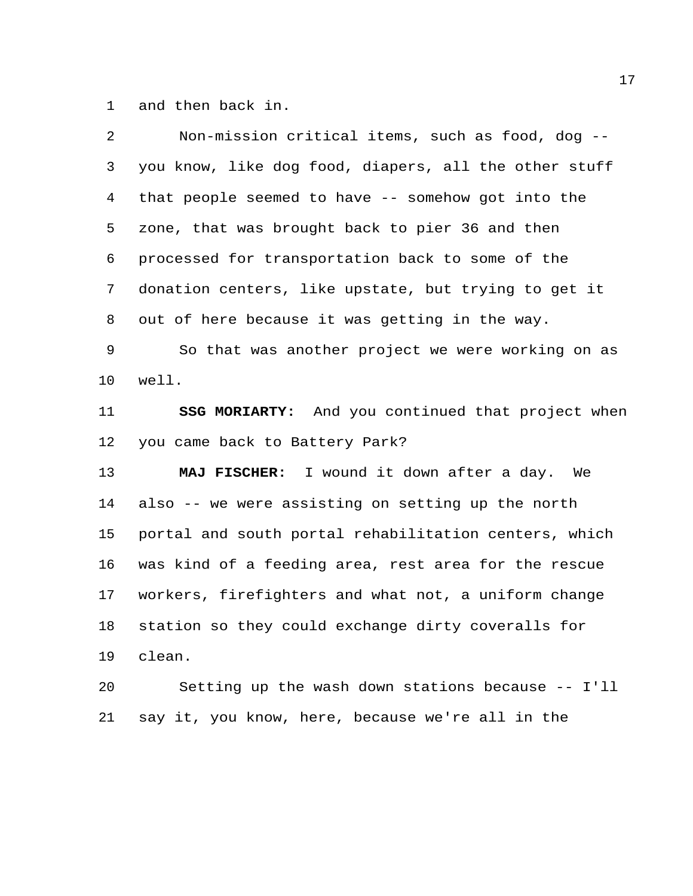and then back in.

| 2               | Non-mission critical items, such as food, dog --         |
|-----------------|----------------------------------------------------------|
| 3               | you know, like dog food, diapers, all the other stuff    |
| 4               | that people seemed to have -- somehow got into the       |
| 5               | zone, that was brought back to pier 36 and then          |
| 6               | processed for transportation back to some of the         |
| 7               | donation centers, like upstate, but trying to get it     |
| 8               | out of here because it was getting in the way.           |
| 9               | So that was another project we were working on as        |
| 10              | well.                                                    |
| 11              | <b>SSG MORIARTY:</b> And you continued that project when |
| 12              | you came back to Battery Park?                           |
| 13              | MAJ FISCHER: I wound it down after a day. We             |
| 14              | also -- we were assisting on setting up the north        |
| 15              | portal and south portal rehabilitation centers, which    |
| 16              | was kind of a feeding area, rest area for the rescue     |
| 17 <sub>2</sub> | workers, firefighters and what not, a uniform change     |
| 18              | station so they could exchange dirty coveralls for       |
| 19              | clean.                                                   |
| 20              | Setting up the wash down stations because -- I'll        |
| 21              | say it, you know, here, because we're all in the         |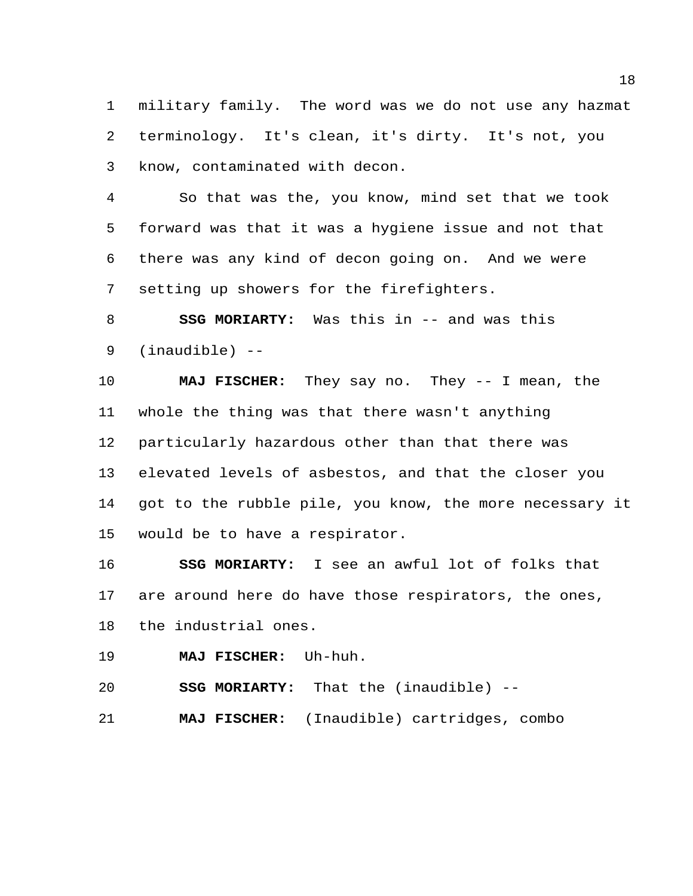military family. The word was we do not use any hazmat terminology. It's clean, it's dirty. It's not, you know, contaminated with decon.

 So that was the, you know, mind set that we took forward was that it was a hygiene issue and not that there was any kind of decon going on. And we were setting up showers for the firefighters.

 **SSG MORIARTY:** Was this in -- and was this (inaudible) --

 **MAJ FISCHER:** They say no. They -- I mean, the whole the thing was that there wasn't anything particularly hazardous other than that there was elevated levels of asbestos, and that the closer you got to the rubble pile, you know, the more necessary it would be to have a respirator.

 **SSG MORIARTY:** I see an awful lot of folks that are around here do have those respirators, the ones, the industrial ones.

**MAJ FISCHER:** Uh-huh.

**SSG MORIARTY:** That the (inaudible) --

**MAJ FISCHER:** (Inaudible) cartridges, combo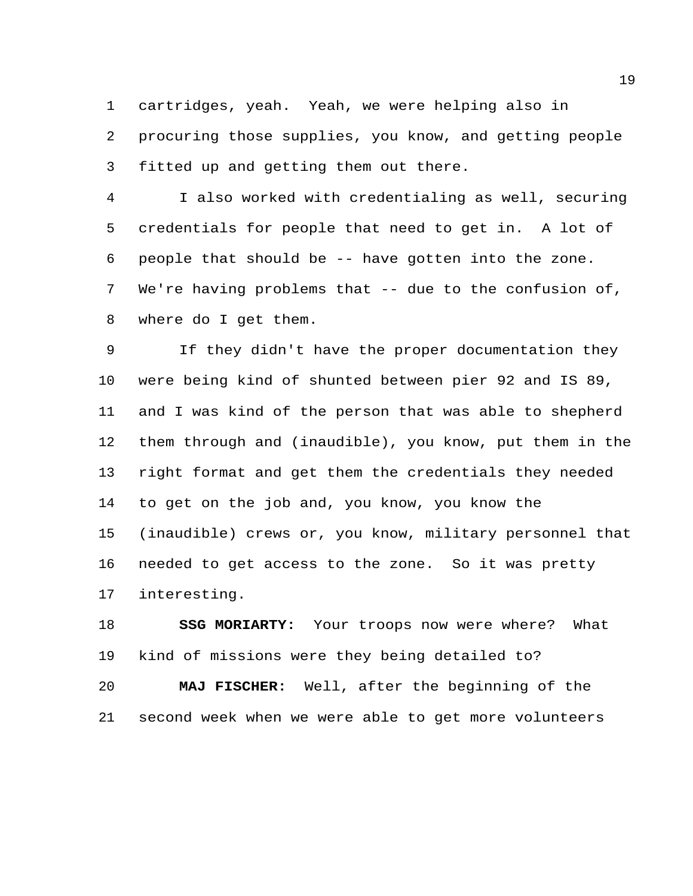cartridges, yeah. Yeah, we were helping also in procuring those supplies, you know, and getting people fitted up and getting them out there.

 I also worked with credentialing as well, securing credentials for people that need to get in. A lot of people that should be -- have gotten into the zone. We're having problems that -- due to the confusion of, where do I get them.

 If they didn't have the proper documentation they were being kind of shunted between pier 92 and IS 89, and I was kind of the person that was able to shepherd them through and (inaudible), you know, put them in the right format and get them the credentials they needed to get on the job and, you know, you know the (inaudible) crews or, you know, military personnel that needed to get access to the zone. So it was pretty interesting.

 **SSG MORIARTY:** Your troops now were where? What kind of missions were they being detailed to? **MAJ FISCHER:** Well, after the beginning of the second week when we were able to get more volunteers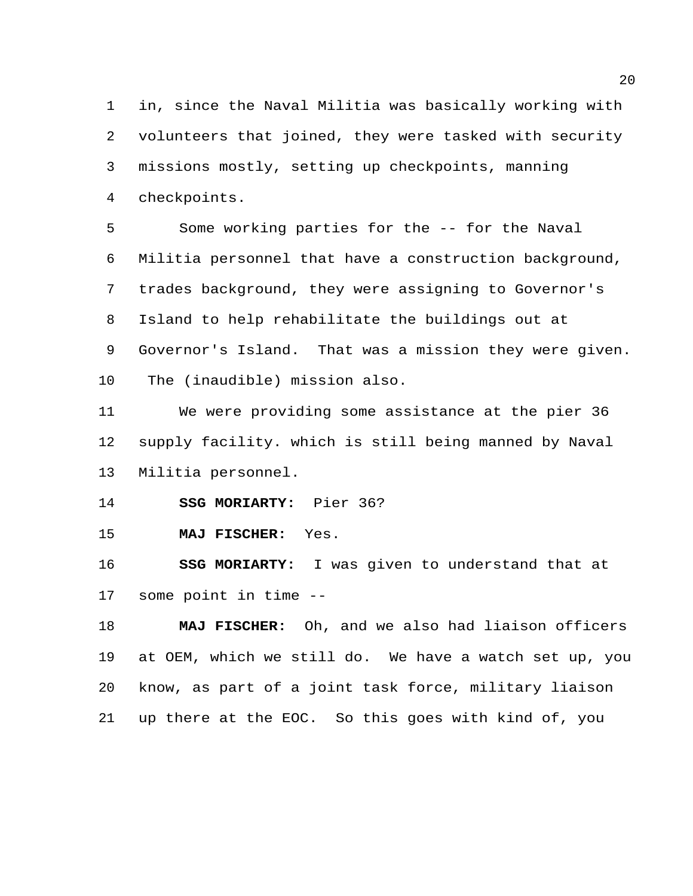in, since the Naval Militia was basically working with volunteers that joined, they were tasked with security missions mostly, setting up checkpoints, manning checkpoints.

 Some working parties for the -- for the Naval Militia personnel that have a construction background, trades background, they were assigning to Governor's Island to help rehabilitate the buildings out at Governor's Island. That was a mission they were given. The (inaudible) mission also.

 We were providing some assistance at the pier 36 supply facility. which is still being manned by Naval Militia personnel.

**SSG MORIARTY:** Pier 36?

**MAJ FISCHER:** Yes.

 **SSG MORIARTY:** I was given to understand that at some point in time --

 **MAJ FISCHER:** Oh, and we also had liaison officers at OEM, which we still do. We have a watch set up, you know, as part of a joint task force, military liaison up there at the EOC. So this goes with kind of, you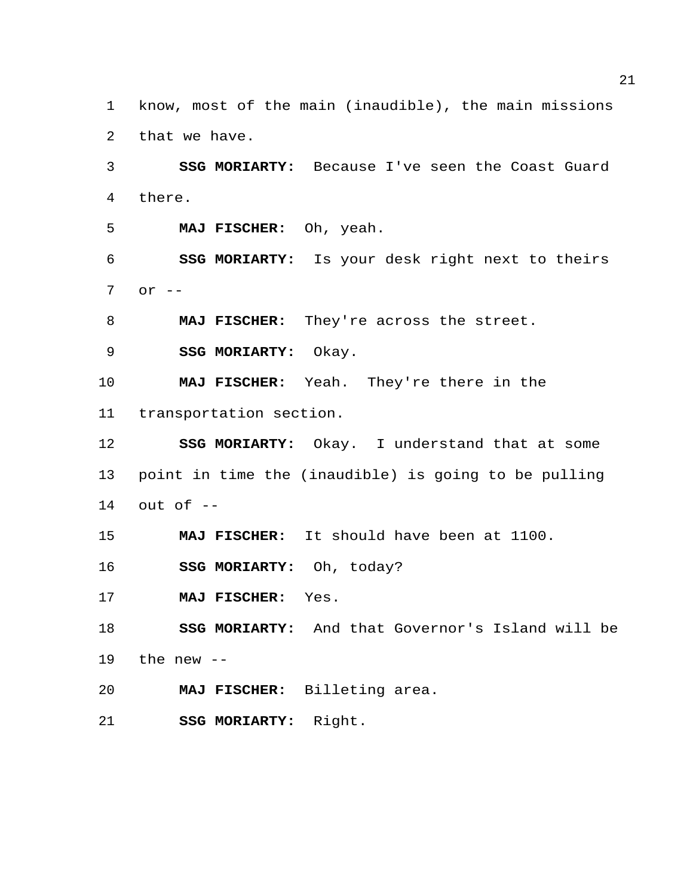know, most of the main (inaudible), the main missions that we have.

 **SSG MORIARTY:** Because I've seen the Coast Guard there.

**MAJ FISCHER:** Oh, yeah.

 **SSG MORIARTY:** Is your desk right next to theirs or --

**MAJ FISCHER:** They're across the street.

**SSG MORIARTY:** Okay.

 **MAJ FISCHER:** Yeah. They're there in the transportation section.

 **SSG MORIARTY:** Okay. I understand that at some point in time the (inaudible) is going to be pulling out of --

**MAJ FISCHER:** It should have been at 1100.

**SSG MORIARTY:** Oh, today?

**MAJ FISCHER:** Yes.

 **SSG MORIARTY:** And that Governor's Island will be the new  $-$ 

**MAJ FISCHER:** Billeting area.

**SSG MORIARTY:** Right.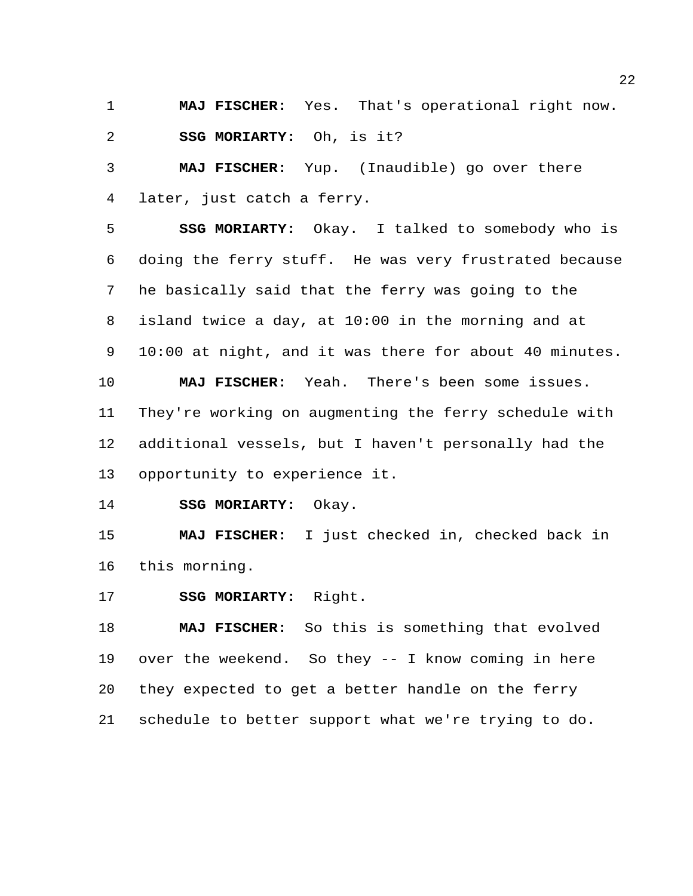**MAJ FISCHER:** Yes. That's operational right now. **SSG MORIARTY:** Oh, is it?

 **MAJ FISCHER:** Yup. (Inaudible) go over there later, just catch a ferry.

 **SSG MORIARTY:** Okay. I talked to somebody who is doing the ferry stuff. He was very frustrated because he basically said that the ferry was going to the island twice a day, at 10:00 in the morning and at 10:00 at night, and it was there for about 40 minutes.

 **MAJ FISCHER:** Yeah. There's been some issues. They're working on augmenting the ferry schedule with additional vessels, but I haven't personally had the opportunity to experience it.

**SSG MORIARTY:** Okay.

 **MAJ FISCHER:** I just checked in, checked back in this morning.

**SSG MORIARTY:** Right.

 **MAJ FISCHER:** So this is something that evolved over the weekend. So they -- I know coming in here they expected to get a better handle on the ferry schedule to better support what we're trying to do.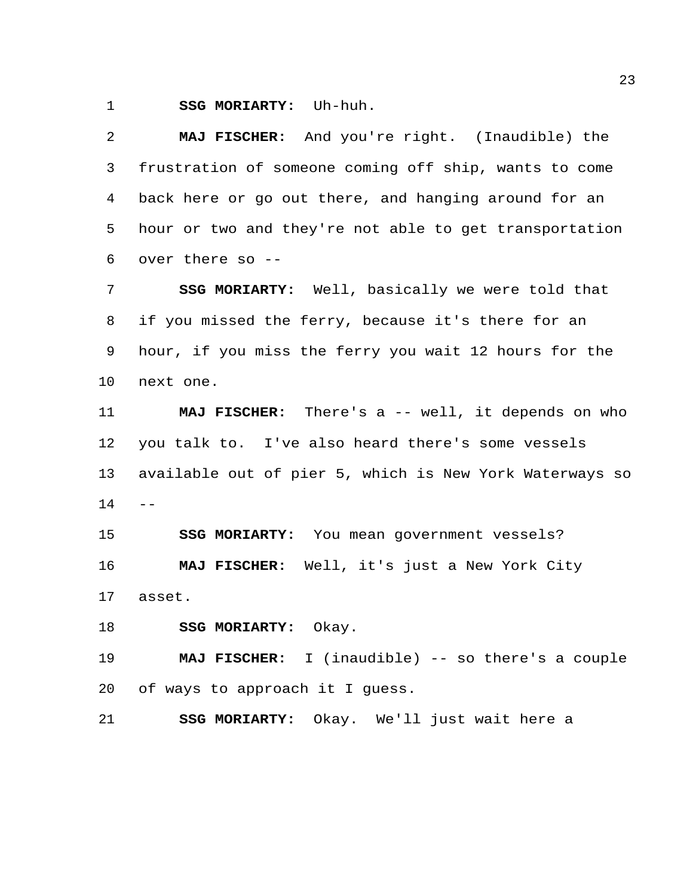**SSG MORIARTY:** Uh-huh.

 **MAJ FISCHER:** And you're right. (Inaudible) the frustration of someone coming off ship, wants to come back here or go out there, and hanging around for an hour or two and they're not able to get transportation over there so --

 **SSG MORIARTY:** Well, basically we were told that if you missed the ferry, because it's there for an hour, if you miss the ferry you wait 12 hours for the next one.

 **MAJ FISCHER:** There's a -- well, it depends on who you talk to. I've also heard there's some vessels available out of pier 5, which is New York Waterways so  $14 - -$ 

 **SSG MORIARTY:** You mean government vessels? **MAJ FISCHER:** Well, it's just a New York City asset.

**SSG MORIARTY:** Okay.

 **MAJ FISCHER:** I (inaudible) -- so there's a couple of ways to approach it I guess.

**SSG MORIARTY:** Okay. We'll just wait here a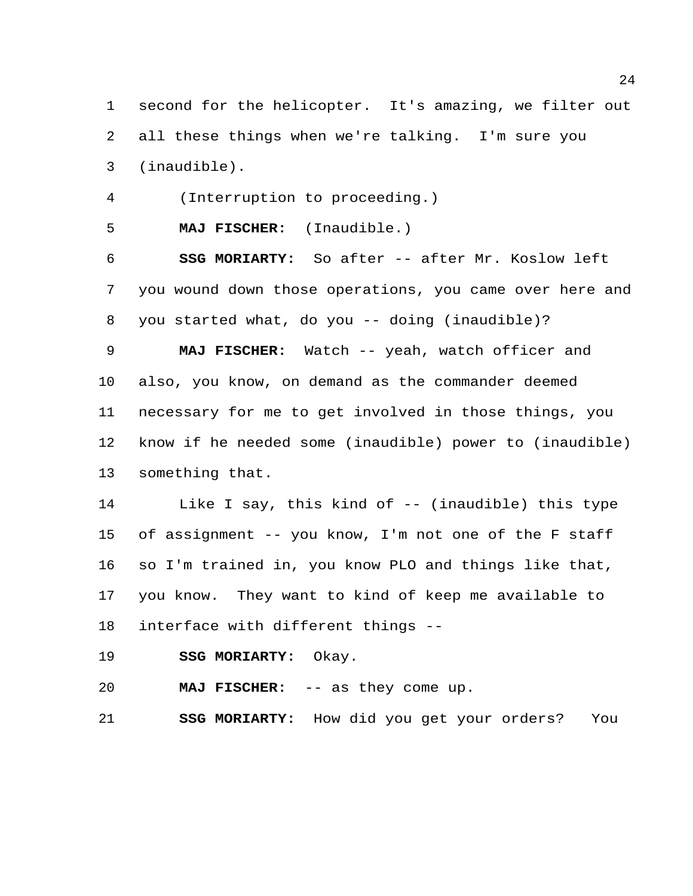second for the helicopter. It's amazing, we filter out all these things when we're talking. I'm sure you (inaudible).

(Interruption to proceeding.)

**MAJ FISCHER:** (Inaudible.)

 **SSG MORIARTY:** So after -- after Mr. Koslow left you wound down those operations, you came over here and you started what, do you -- doing (inaudible)?

 **MAJ FISCHER:** Watch -- yeah, watch officer and also, you know, on demand as the commander deemed necessary for me to get involved in those things, you know if he needed some (inaudible) power to (inaudible) something that.

 Like I say, this kind of -- (inaudible) this type of assignment -- you know, I'm not one of the F staff so I'm trained in, you know PLO and things like that, you know. They want to kind of keep me available to interface with different things --

**SSG MORIARTY:** Okay.

**MAJ FISCHER:** -- as they come up.

**SSG MORIARTY:** How did you get your orders? You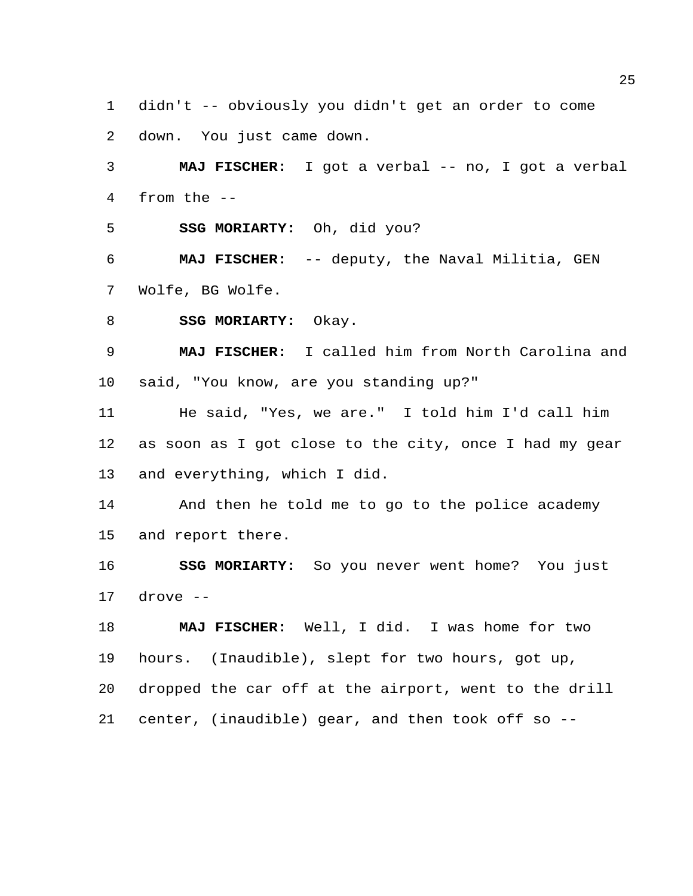didn't -- obviously you didn't get an order to come

down. You just came down.

 **MAJ FISCHER:** I got a verbal -- no, I got a verbal from the --

**SSG MORIARTY:** Oh, did you?

 **MAJ FISCHER:** -- deputy, the Naval Militia, GEN Wolfe, BG Wolfe.

8 SSG MORIARTY: Okay.

 **MAJ FISCHER:** I called him from North Carolina and said, "You know, are you standing up?"

 He said, "Yes, we are." I told him I'd call him as soon as I got close to the city, once I had my gear and everything, which I did.

 And then he told me to go to the police academy and report there.

 **SSG MORIARTY:** So you never went home? You just drove --

 **MAJ FISCHER:** Well, I did. I was home for two hours. (Inaudible), slept for two hours, got up, dropped the car off at the airport, went to the drill center, (inaudible) gear, and then took off so --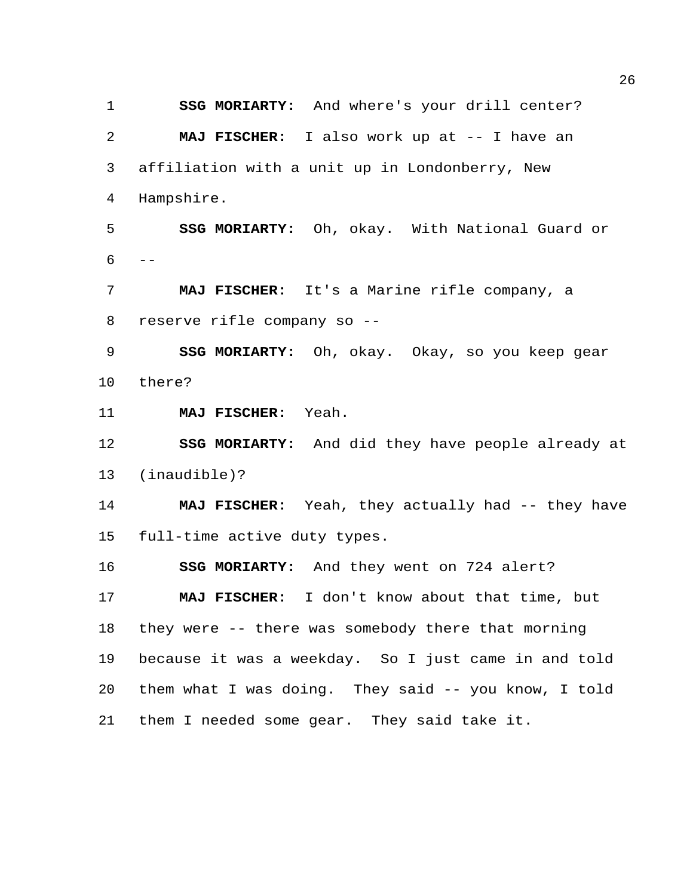**SSG MORIARTY:** And where's your drill center? **MAJ FISCHER:** I also work up at -- I have an affiliation with a unit up in Londonberry, New Hampshire.

 **SSG MORIARTY:** Oh, okay. With National Guard or  $6 - -$ 

 **MAJ FISCHER:** It's a Marine rifle company, a reserve rifle company so --

 **SSG MORIARTY:** Oh, okay. Okay, so you keep gear there?

**MAJ FISCHER:** Yeah.

 **SSG MORIARTY:** And did they have people already at (inaudible)?

 **MAJ FISCHER:** Yeah, they actually had -- they have full-time active duty types.

**SSG MORIARTY:** And they went on 724 alert?

 **MAJ FISCHER:** I don't know about that time, but they were -- there was somebody there that morning because it was a weekday. So I just came in and told them what I was doing. They said -- you know, I told them I needed some gear. They said take it.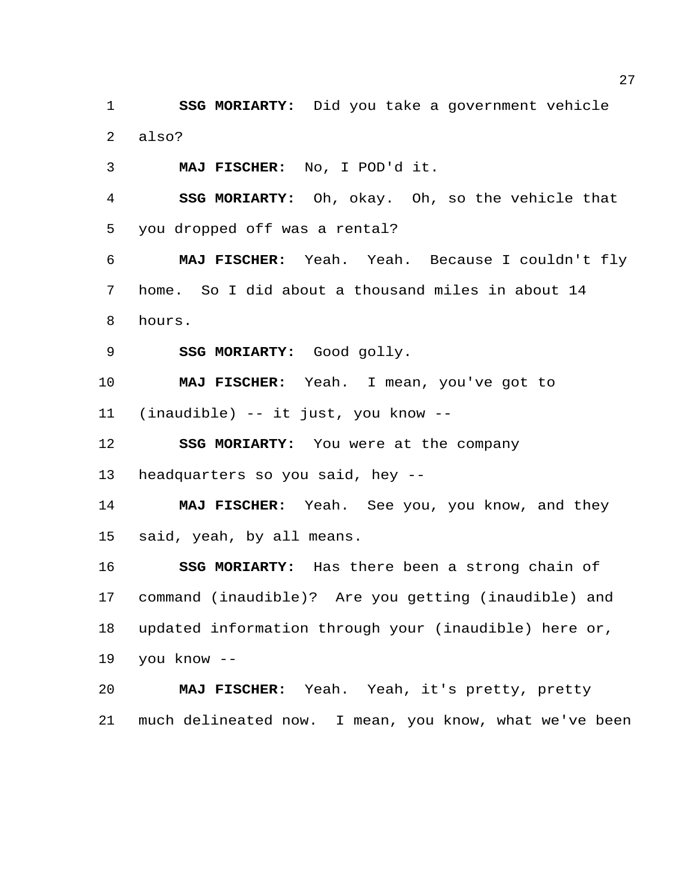**SSG MORIARTY:** Did you take a government vehicle also?

**MAJ FISCHER:** No, I POD'd it.

 **SSG MORIARTY:** Oh, okay. Oh, so the vehicle that you dropped off was a rental?

 **MAJ FISCHER:** Yeah. Yeah. Because I couldn't fly home. So I did about a thousand miles in about 14 hours.

**SSG MORIARTY:** Good golly.

**MAJ FISCHER:** Yeah. I mean, you've got to

(inaudible) -- it just, you know --

**SSG MORIARTY:** You were at the company

headquarters so you said, hey --

 **MAJ FISCHER:** Yeah. See you, you know, and they said, yeah, by all means.

 **SSG MORIARTY:** Has there been a strong chain of command (inaudible)? Are you getting (inaudible) and updated information through your (inaudible) here or, you know --

 **MAJ FISCHER:** Yeah. Yeah, it's pretty, pretty much delineated now. I mean, you know, what we've been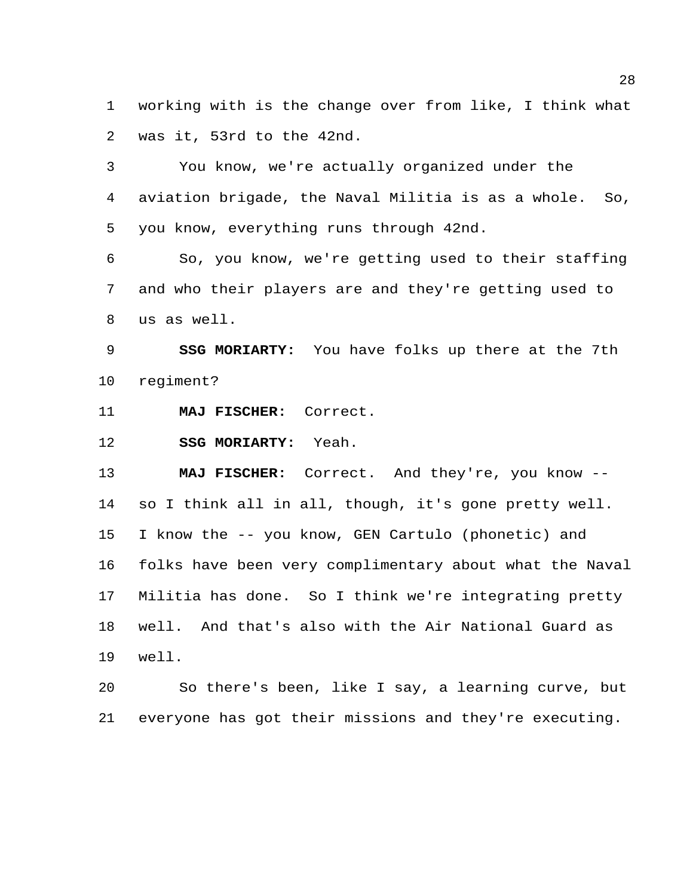working with is the change over from like, I think what was it, 53rd to the 42nd.

 You know, we're actually organized under the aviation brigade, the Naval Militia is as a whole. So, you know, everything runs through 42nd.

 So, you know, we're getting used to their staffing and who their players are and they're getting used to us as well.

 **SSG MORIARTY:** You have folks up there at the 7th regiment?

**MAJ FISCHER:** Correct.

**SSG MORIARTY:** Yeah.

 **MAJ FISCHER:** Correct. And they're, you know -- so I think all in all, though, it's gone pretty well. I know the -- you know, GEN Cartulo (phonetic) and folks have been very complimentary about what the Naval Militia has done. So I think we're integrating pretty well. And that's also with the Air National Guard as well.

 So there's been, like I say, a learning curve, but everyone has got their missions and they're executing.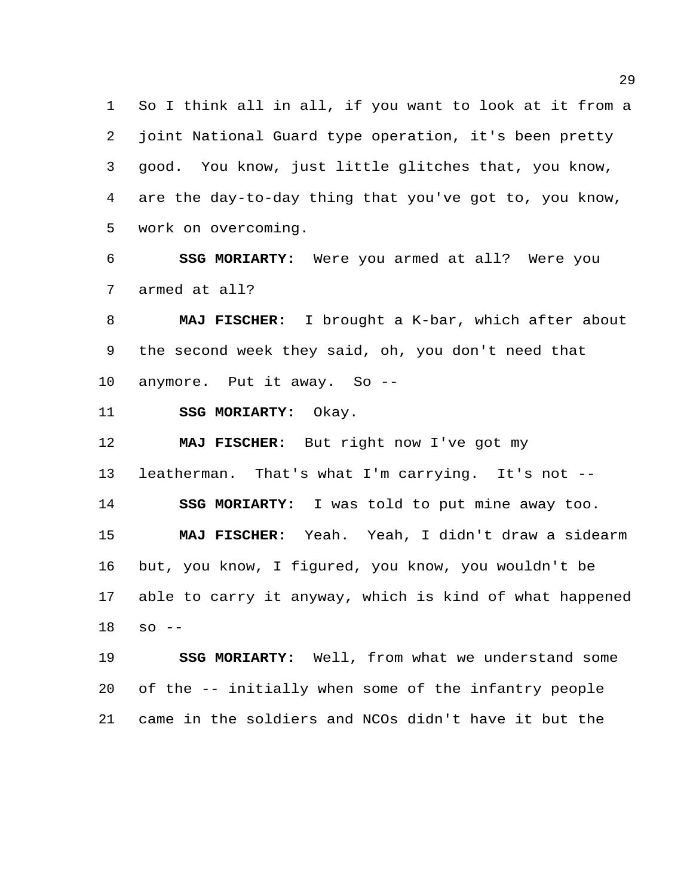So I think all in all, if you want to look at it from a joint National Guard type operation, it's been pretty good. You know, just little glitches that, you know, are the day-to-day thing that you've got to, you know, work on overcoming.

 **SSG MORIARTY:** Were you armed at all? Were you armed at all?

 **MAJ FISCHER:** I brought a K-bar, which after about the second week they said, oh, you don't need that anymore. Put it away. So --

**SSG MORIARTY:** Okay.

 **MAJ FISCHER:** But right now I've got my leatherman. That's what I'm carrying. It's not -- **SSG MORIARTY:** I was told to put mine away too. **MAJ FISCHER:** Yeah. Yeah, I didn't draw a sidearm but, you know, I figured, you know, you wouldn't be able to carry it anyway, which is kind of what happened so --

 **SSG MORIARTY:** Well, from what we understand some of the -- initially when some of the infantry people came in the soldiers and NCOs didn't have it but the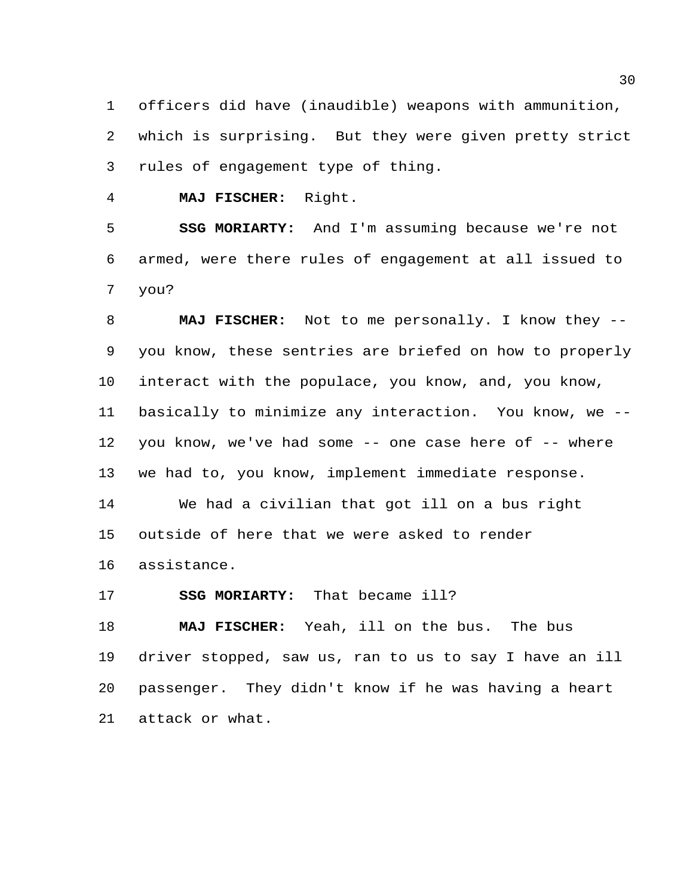officers did have (inaudible) weapons with ammunition, which is surprising. But they were given pretty strict rules of engagement type of thing.

**MAJ FISCHER:** Right.

 **SSG MORIARTY:** And I'm assuming because we're not armed, were there rules of engagement at all issued to you?

 **MAJ FISCHER:** Not to me personally. I know they -- you know, these sentries are briefed on how to properly interact with the populace, you know, and, you know, basically to minimize any interaction. You know, we -- you know, we've had some -- one case here of -- where we had to, you know, implement immediate response. We had a civilian that got ill on a bus right outside of here that we were asked to render assistance.

**SSG MORIARTY:** That became ill?

 **MAJ FISCHER:** Yeah, ill on the bus. The bus driver stopped, saw us, ran to us to say I have an ill passenger. They didn't know if he was having a heart attack or what.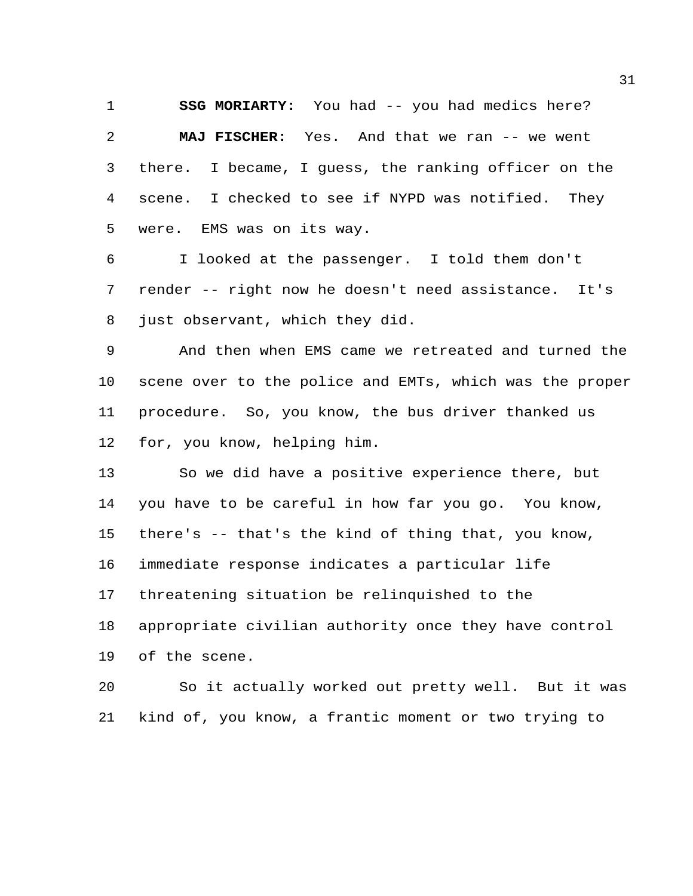**SSG MORIARTY:** You had -- you had medics here? **MAJ FISCHER:** Yes. And that we ran -- we went there. I became, I guess, the ranking officer on the scene. I checked to see if NYPD was notified. They were. EMS was on its way.

 I looked at the passenger. I told them don't render -- right now he doesn't need assistance. It's just observant, which they did.

 And then when EMS came we retreated and turned the scene over to the police and EMTs, which was the proper procedure. So, you know, the bus driver thanked us for, you know, helping him.

 So we did have a positive experience there, but you have to be careful in how far you go. You know, there's -- that's the kind of thing that, you know, immediate response indicates a particular life threatening situation be relinquished to the appropriate civilian authority once they have control of the scene.

 So it actually worked out pretty well. But it was kind of, you know, a frantic moment or two trying to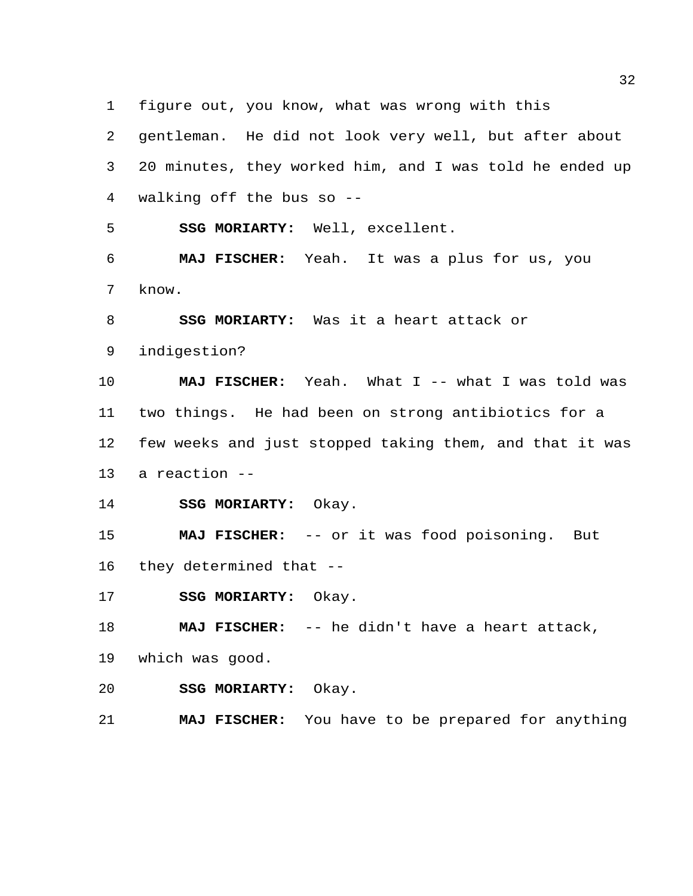figure out, you know, what was wrong with this

 gentleman. He did not look very well, but after about 20 minutes, they worked him, and I was told he ended up

walking off the bus so --

**SSG MORIARTY:** Well, excellent.

 **MAJ FISCHER:** Yeah. It was a plus for us, you know.

**SSG MORIARTY:** Was it a heart attack or

indigestion?

 **MAJ FISCHER:** Yeah. What I -- what I was told was two things. He had been on strong antibiotics for a few weeks and just stopped taking them, and that it was a reaction --

**SSG MORIARTY:** Okay.

 **MAJ FISCHER:** -- or it was food poisoning. But they determined that --

**SSG MORIARTY:** Okay.

**MAJ FISCHER:** -- he didn't have a heart attack,

which was good.

**SSG MORIARTY:** Okay.

**MAJ FISCHER:** You have to be prepared for anything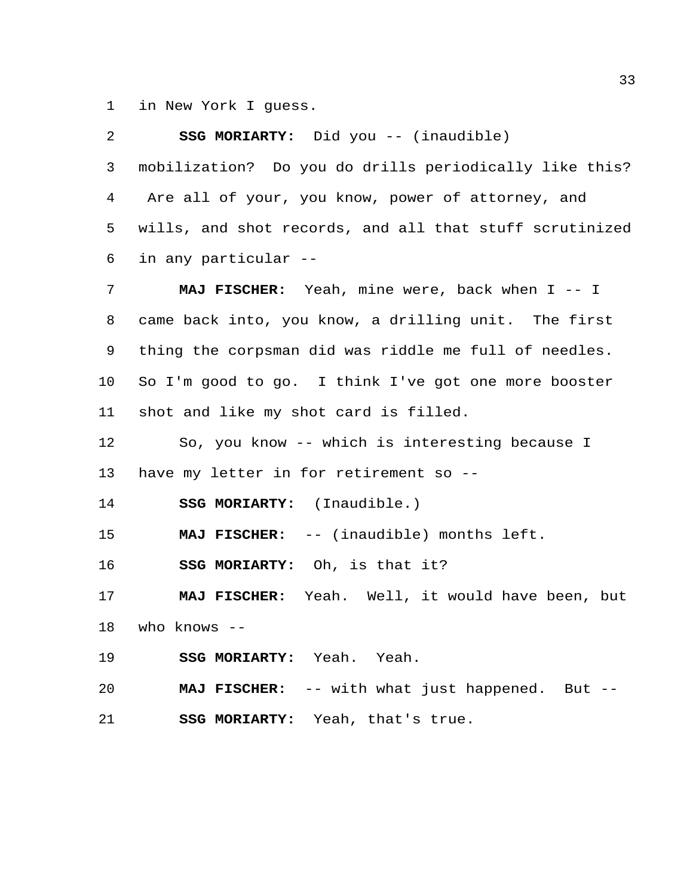in New York I guess.

| 2  | SSG MORIARTY: Did you -- (inaudible)                    |
|----|---------------------------------------------------------|
| 3  | mobilization? Do you do drills periodically like this?  |
| 4  | Are all of your, you know, power of attorney, and       |
| 5  | wills, and shot records, and all that stuff scrutinized |
| 6  | in any particular --                                    |
| 7  | MAJ FISCHER: Yeah, mine were, back when I -- I          |
| 8  | came back into, you know, a drilling unit. The first    |
| 9  | thing the corpsman did was riddle me full of needles.   |
| 10 | So I'm good to go. I think I've got one more booster    |
| 11 | shot and like my shot card is filled.                   |
| 12 | So, you know -- which is interesting because I          |
| 13 | have my letter in for retirement so --                  |
| 14 | SSG MORIARTY: (Inaudible.)                              |
| 15 | MAJ FISCHER: -- (inaudible) months left.                |
| 16 | SSG MORIARTY: Oh, is that it?                           |
| 17 | MAJ FISCHER: Yeah. Well, it would have been, but        |
| 18 | who knows --                                            |
| 19 | SSG MORIARTY: Yeah. Yeah.                               |
| 20 | MAJ FISCHER: -- with what just happened. But --         |
| 21 | SSG MORIARTY: Yeah, that's true.                        |
|    |                                                         |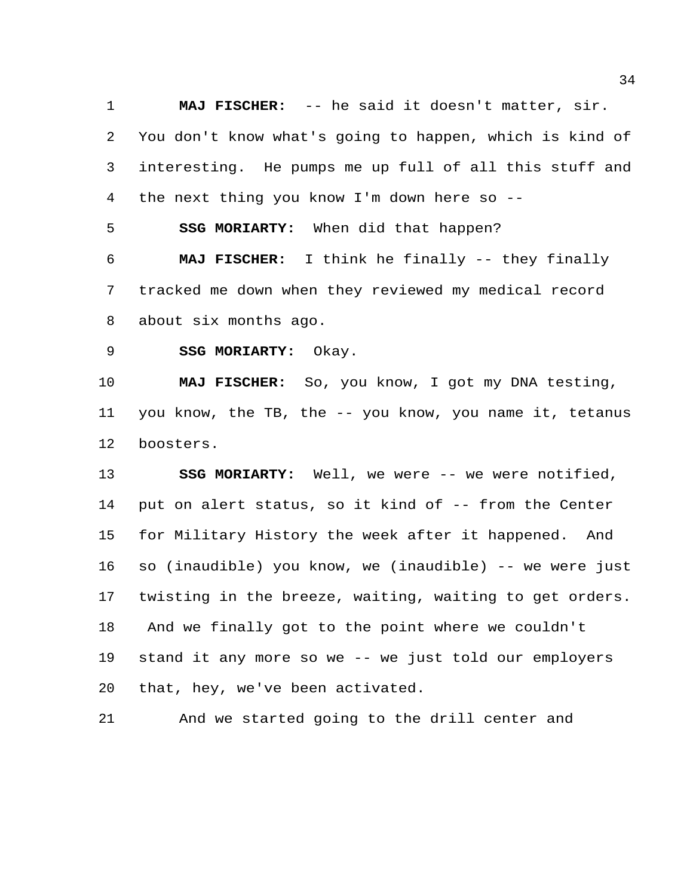**MAJ FISCHER:** -- he said it doesn't matter, sir. You don't know what's going to happen, which is kind of interesting. He pumps me up full of all this stuff and the next thing you know I'm down here so --

**SSG MORIARTY:** When did that happen?

 **MAJ FISCHER:** I think he finally -- they finally tracked me down when they reviewed my medical record about six months ago.

**SSG MORIARTY:** Okay.

 **MAJ FISCHER:** So, you know, I got my DNA testing, you know, the TB, the -- you know, you name it, tetanus boosters.

 **SSG MORIARTY:** Well, we were -- we were notified, put on alert status, so it kind of -- from the Center for Military History the week after it happened. And so (inaudible) you know, we (inaudible) -- we were just twisting in the breeze, waiting, waiting to get orders. And we finally got to the point where we couldn't stand it any more so we -- we just told our employers that, hey, we've been activated.

And we started going to the drill center and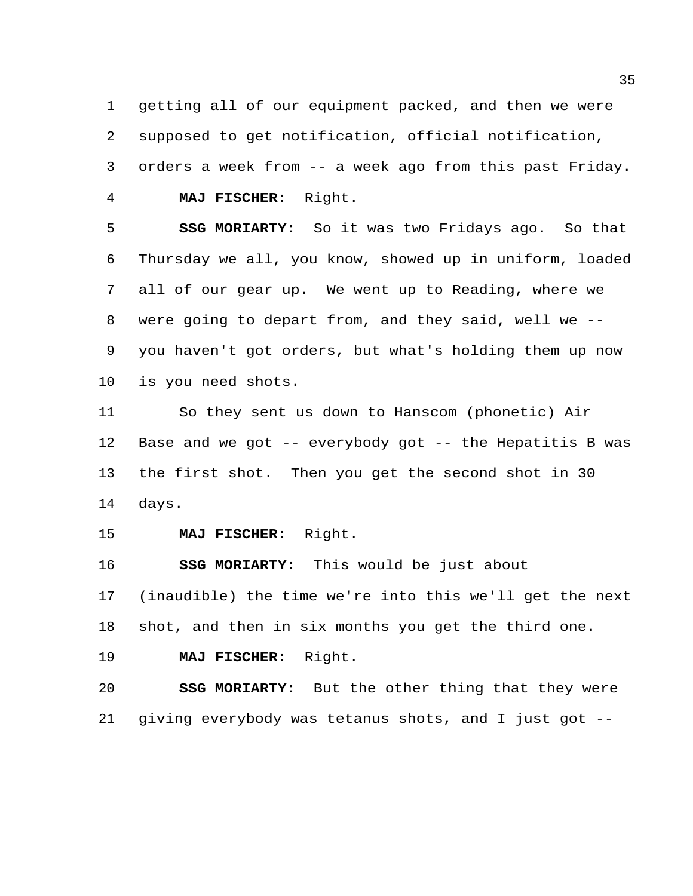getting all of our equipment packed, and then we were supposed to get notification, official notification, orders a week from -- a week ago from this past Friday. **MAJ FISCHER:** Right.

 **SSG MORIARTY:** So it was two Fridays ago. So that Thursday we all, you know, showed up in uniform, loaded all of our gear up. We went up to Reading, where we were going to depart from, and they said, well we -- you haven't got orders, but what's holding them up now is you need shots.

 So they sent us down to Hanscom (phonetic) Air Base and we got -- everybody got -- the Hepatitis B was the first shot. Then you get the second shot in 30 days.

**MAJ FISCHER:** Right.

 **SSG MORIARTY:** This would be just about (inaudible) the time we're into this we'll get the next shot, and then in six months you get the third one.

**MAJ FISCHER:** Right.

 **SSG MORIARTY:** But the other thing that they were giving everybody was tetanus shots, and I just got --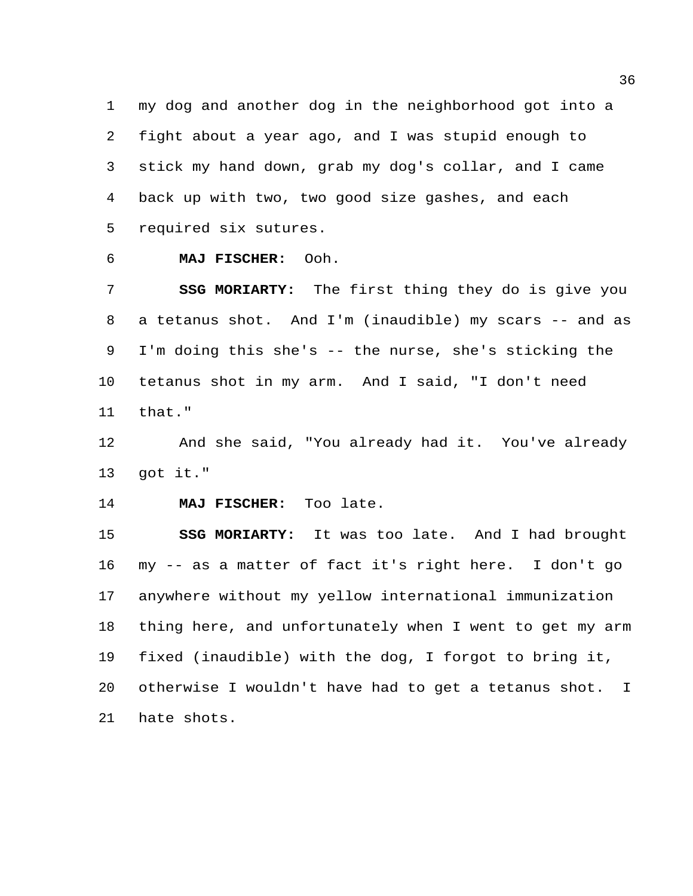my dog and another dog in the neighborhood got into a fight about a year ago, and I was stupid enough to stick my hand down, grab my dog's collar, and I came back up with two, two good size gashes, and each required six sutures.

**MAJ FISCHER:** Ooh.

 **SSG MORIARTY:** The first thing they do is give you a tetanus shot. And I'm (inaudible) my scars -- and as I'm doing this she's -- the nurse, she's sticking the tetanus shot in my arm. And I said, "I don't need that."

 And she said, "You already had it. You've already got it."

**MAJ FISCHER:** Too late.

 **SSG MORIARTY:** It was too late. And I had brought my -- as a matter of fact it's right here. I don't go anywhere without my yellow international immunization thing here, and unfortunately when I went to get my arm fixed (inaudible) with the dog, I forgot to bring it, otherwise I wouldn't have had to get a tetanus shot. I hate shots.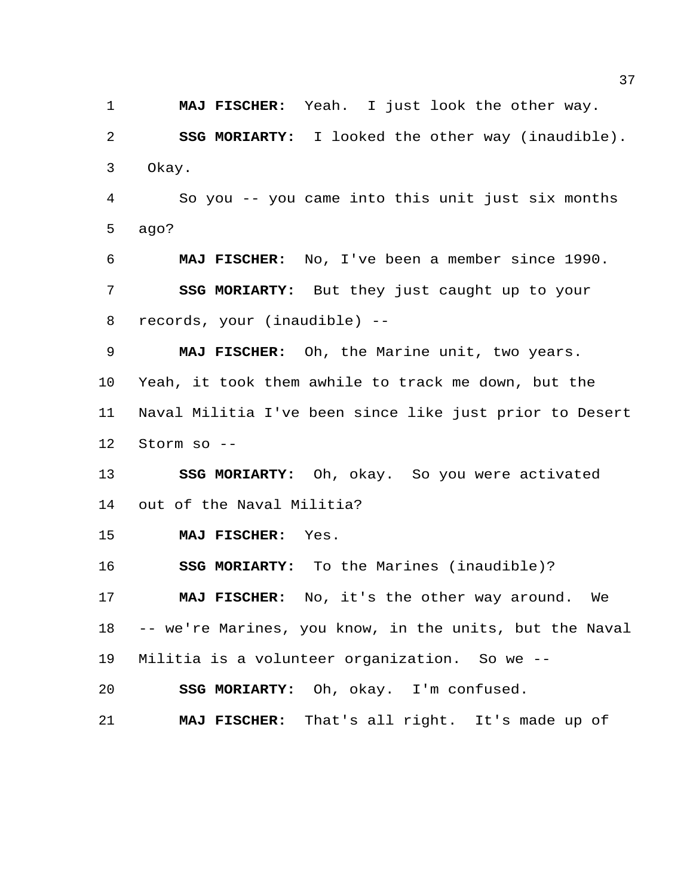**MAJ FISCHER:** Yeah. I just look the other way. **SSG MORIARTY:** I looked the other way (inaudible). Okay.

 So you -- you came into this unit just six months ago?

 **MAJ FISCHER:** No, I've been a member since 1990. **SSG MORIARTY:** But they just caught up to your records, your (inaudible) --

 **MAJ FISCHER:** Oh, the Marine unit, two years. Yeah, it took them awhile to track me down, but the Naval Militia I've been since like just prior to Desert Storm so --

 **SSG MORIARTY:** Oh, okay. So you were activated out of the Naval Militia?

**MAJ FISCHER:** Yes.

**SSG MORIARTY:** To the Marines (inaudible)?

 **MAJ FISCHER:** No, it's the other way around. We -- we're Marines, you know, in the units, but the Naval Militia is a volunteer organization. So we --

**SSG MORIARTY:** Oh, okay. I'm confused.

**MAJ FISCHER:** That's all right. It's made up of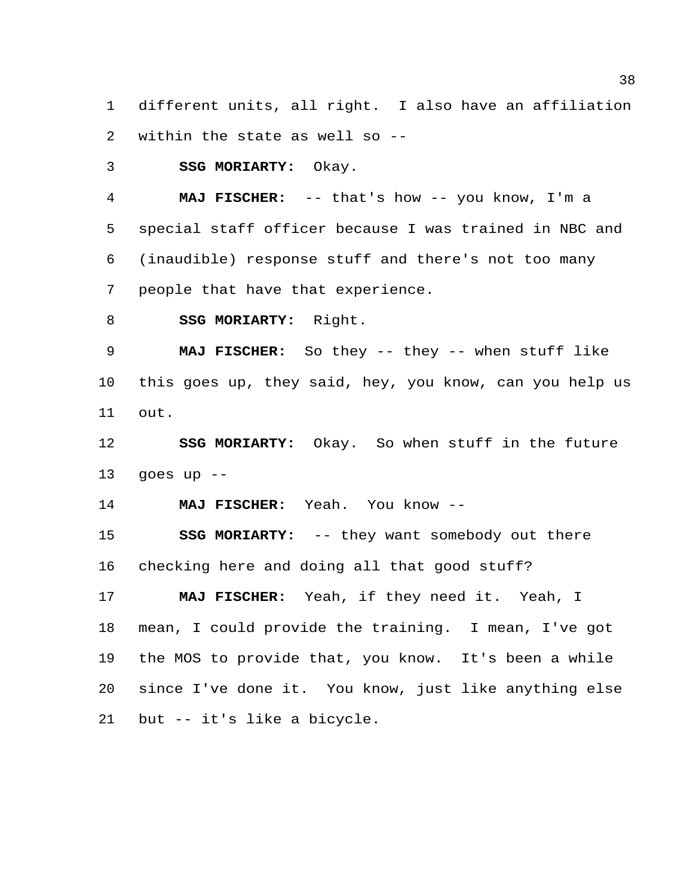different units, all right. I also have an affiliation within the state as well so --

**SSG MORIARTY:** Okay.

 **MAJ FISCHER:** -- that's how -- you know, I'm a special staff officer because I was trained in NBC and (inaudible) response stuff and there's not too many people that have that experience.

**SSG MORIARTY:** Right.

 **MAJ FISCHER:** So they -- they -- when stuff like this goes up, they said, hey, you know, can you help us out.

 **SSG MORIARTY:** Okay. So when stuff in the future 13 goes up  $-$ 

**MAJ FISCHER:** Yeah. You know --

 **SSG MORIARTY:** -- they want somebody out there checking here and doing all that good stuff?

 **MAJ FISCHER:** Yeah, if they need it. Yeah, I mean, I could provide the training. I mean, I've got the MOS to provide that, you know. It's been a while since I've done it. You know, just like anything else but -- it's like a bicycle.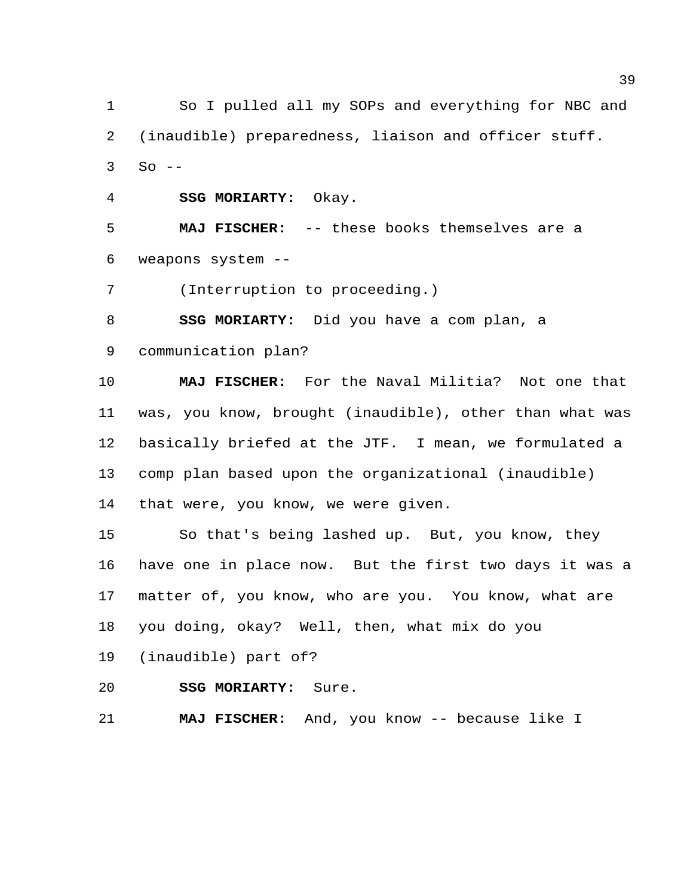So I pulled all my SOPs and everything for NBC and (inaudible) preparedness, liaison and officer stuff. So  $-$ 

**SSG MORIARTY:** Okay.

 **MAJ FISCHER:** -- these books themselves are a weapons system --

(Interruption to proceeding.)

**SSG MORIARTY:** Did you have a com plan, a

communication plan?

 **MAJ FISCHER:** For the Naval Militia? Not one that was, you know, brought (inaudible), other than what was basically briefed at the JTF. I mean, we formulated a comp plan based upon the organizational (inaudible) that were, you know, we were given.

 So that's being lashed up. But, you know, they have one in place now. But the first two days it was a matter of, you know, who are you. You know, what are you doing, okay? Well, then, what mix do you

(inaudible) part of?

**SSG MORIARTY:** Sure.

**MAJ FISCHER:** And, you know -- because like I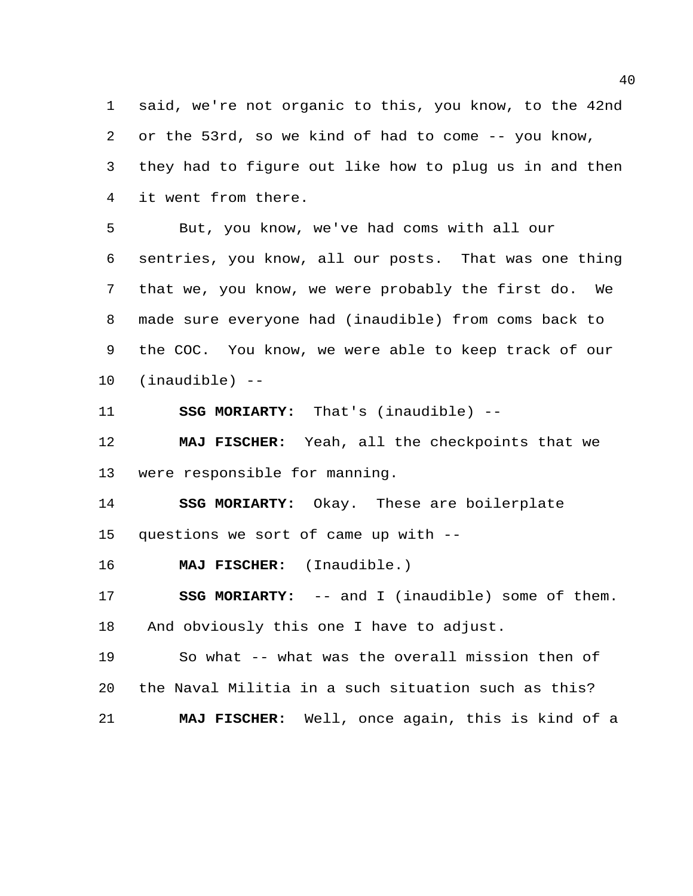said, we're not organic to this, you know, to the 42nd or the 53rd, so we kind of had to come -- you know, they had to figure out like how to plug us in and then it went from there.

 But, you know, we've had coms with all our sentries, you know, all our posts. That was one thing that we, you know, we were probably the first do. We made sure everyone had (inaudible) from coms back to the COC. You know, we were able to keep track of our (inaudible) --

**SSG MORIARTY:** That's (inaudible) --

 **MAJ FISCHER:** Yeah, all the checkpoints that we were responsible for manning.

 **SSG MORIARTY:** Okay. These are boilerplate questions we sort of came up with --

**MAJ FISCHER:** (Inaudible.)

 **SSG MORIARTY:** -- and I (inaudible) some of them. And obviously this one I have to adjust.

 So what -- what was the overall mission then of the Naval Militia in a such situation such as this? **MAJ FISCHER:** Well, once again, this is kind of a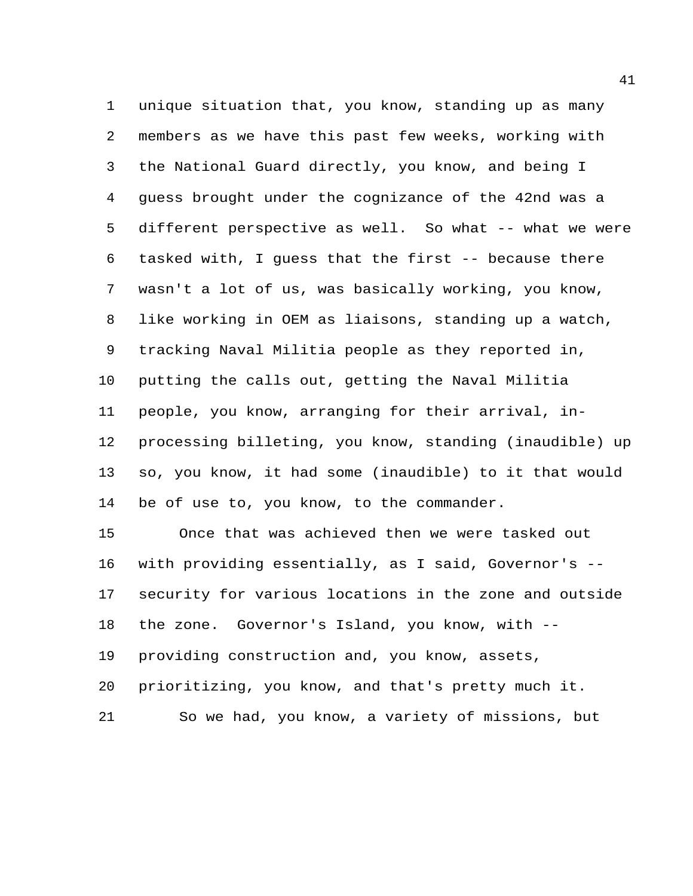unique situation that, you know, standing up as many members as we have this past few weeks, working with the National Guard directly, you know, and being I guess brought under the cognizance of the 42nd was a different perspective as well. So what -- what we were tasked with, I guess that the first -- because there wasn't a lot of us, was basically working, you know, like working in OEM as liaisons, standing up a watch, tracking Naval Militia people as they reported in, putting the calls out, getting the Naval Militia people, you know, arranging for their arrival, in- processing billeting, you know, standing (inaudible) up so, you know, it had some (inaudible) to it that would be of use to, you know, to the commander.

 Once that was achieved then we were tasked out with providing essentially, as I said, Governor's -- security for various locations in the zone and outside the zone. Governor's Island, you know, with -- providing construction and, you know, assets, prioritizing, you know, and that's pretty much it. So we had, you know, a variety of missions, but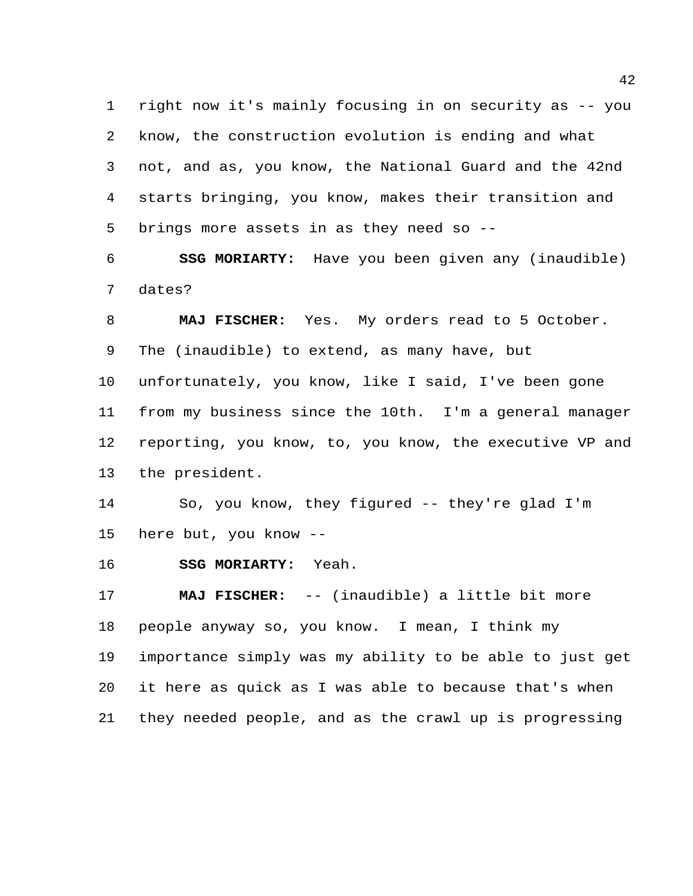right now it's mainly focusing in on security as -- you know, the construction evolution is ending and what not, and as, you know, the National Guard and the 42nd starts bringing, you know, makes their transition and brings more assets in as they need so --

 **SSG MORIARTY:** Have you been given any (inaudible) dates?

 **MAJ FISCHER:** Yes. My orders read to 5 October. The (inaudible) to extend, as many have, but unfortunately, you know, like I said, I've been gone from my business since the 10th. I'm a general manager

 reporting, you know, to, you know, the executive VP and the president.

 So, you know, they figured -- they're glad I'm here but, you know --

**SSG MORIARTY:** Yeah.

 **MAJ FISCHER:** -- (inaudible) a little bit more people anyway so, you know. I mean, I think my importance simply was my ability to be able to just get it here as quick as I was able to because that's when they needed people, and as the crawl up is progressing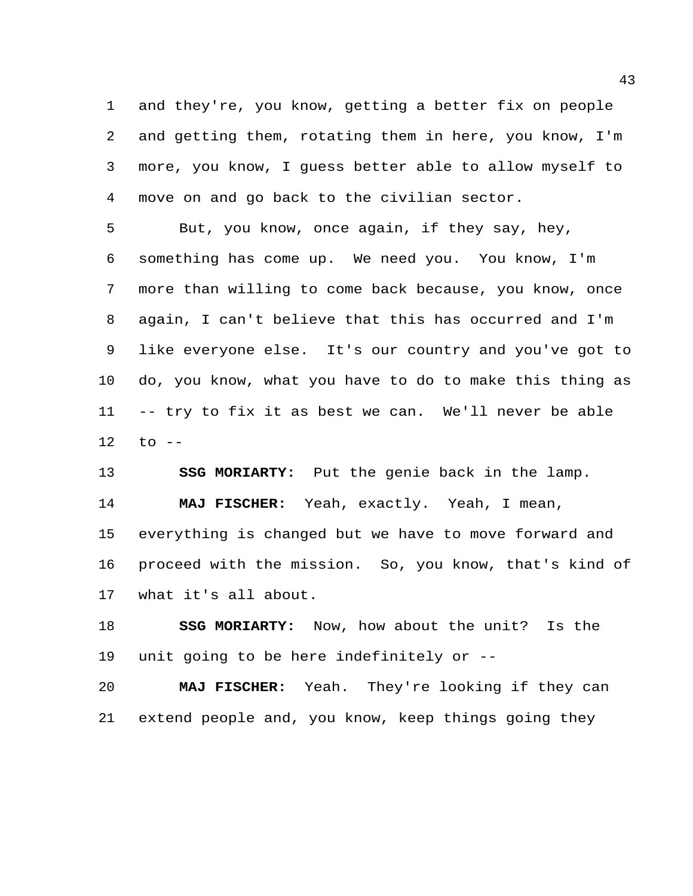and they're, you know, getting a better fix on people and getting them, rotating them in here, you know, I'm more, you know, I guess better able to allow myself to move on and go back to the civilian sector.

 But, you know, once again, if they say, hey, something has come up. We need you. You know, I'm more than willing to come back because, you know, once again, I can't believe that this has occurred and I'm like everyone else. It's our country and you've got to do, you know, what you have to do to make this thing as -- try to fix it as best we can. We'll never be able to --

 **SSG MORIARTY:** Put the genie back in the lamp. **MAJ FISCHER:** Yeah, exactly. Yeah, I mean, everything is changed but we have to move forward and proceed with the mission. So, you know, that's kind of what it's all about.

 **SSG MORIARTY:** Now, how about the unit? Is the unit going to be here indefinitely or --

 **MAJ FISCHER:** Yeah. They're looking if they can extend people and, you know, keep things going they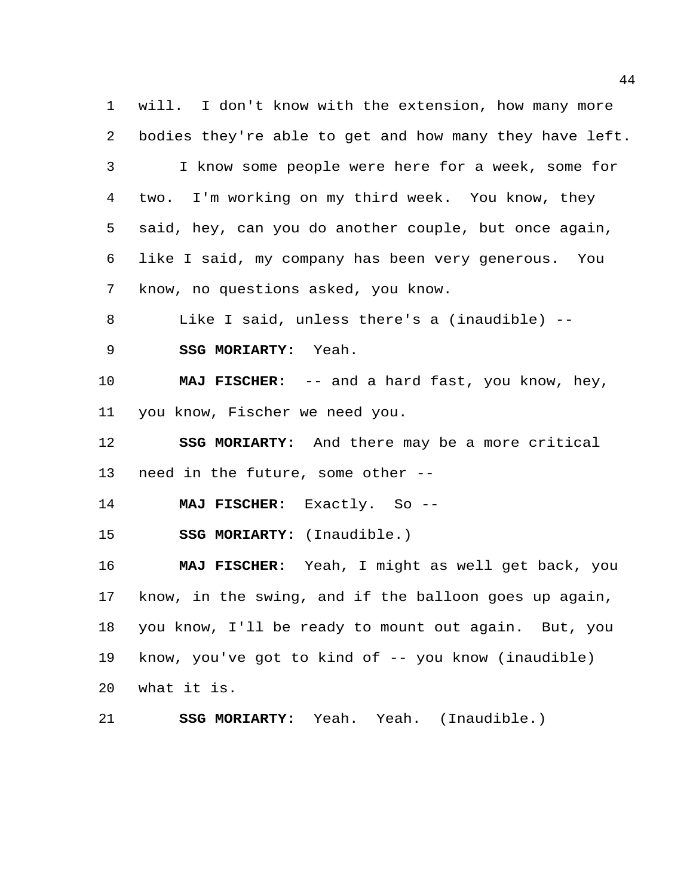will. I don't know with the extension, how many more bodies they're able to get and how many they have left. I know some people were here for a week, some for two. I'm working on my third week. You know, they said, hey, can you do another couple, but once again, like I said, my company has been very generous. You know, no questions asked, you know.

Like I said, unless there's a (inaudible) --

**SSG MORIARTY:** Yeah.

 **MAJ FISCHER:** -- and a hard fast, you know, hey, you know, Fischer we need you.

 **SSG MORIARTY:** And there may be a more critical need in the future, some other --

**MAJ FISCHER:** Exactly. So --

**SSG MORIARTY:** (Inaudible.)

 **MAJ FISCHER:** Yeah, I might as well get back, you know, in the swing, and if the balloon goes up again, you know, I'll be ready to mount out again. But, you know, you've got to kind of -- you know (inaudible) what it is.

**SSG MORIARTY:** Yeah. Yeah. (Inaudible.)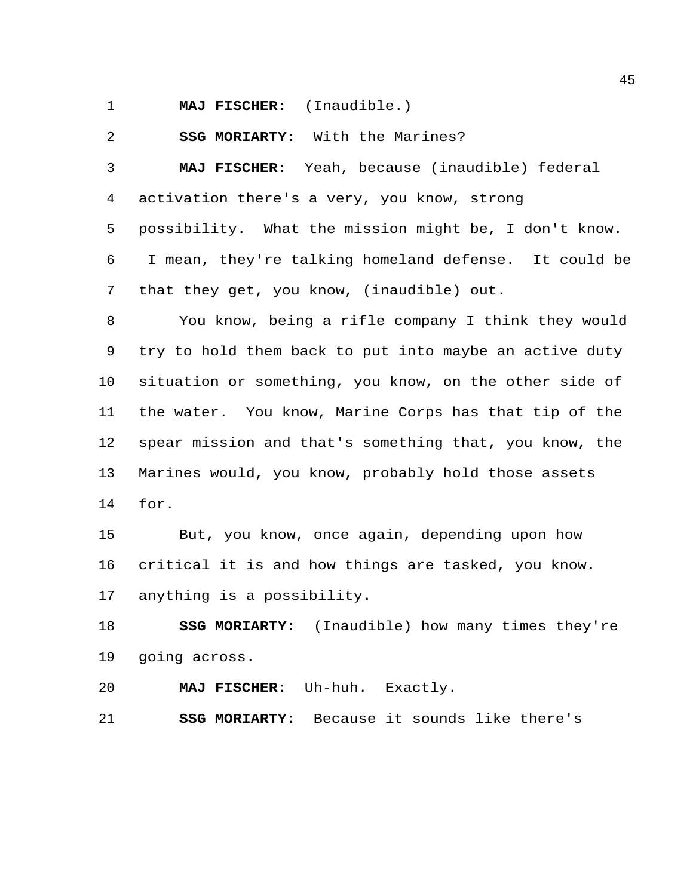**MAJ FISCHER:** (Inaudible.)

**SSG MORIARTY:** With the Marines?

 **MAJ FISCHER:** Yeah, because (inaudible) federal activation there's a very, you know, strong

 possibility. What the mission might be, I don't know. I mean, they're talking homeland defense. It could be that they get, you know, (inaudible) out.

 You know, being a rifle company I think they would try to hold them back to put into maybe an active duty situation or something, you know, on the other side of the water. You know, Marine Corps has that tip of the spear mission and that's something that, you know, the Marines would, you know, probably hold those assets for.

 But, you know, once again, depending upon how critical it is and how things are tasked, you know. anything is a possibility.

 **SSG MORIARTY:** (Inaudible) how many times they're going across.

**MAJ FISCHER:** Uh-huh. Exactly.

**SSG MORIARTY:** Because it sounds like there's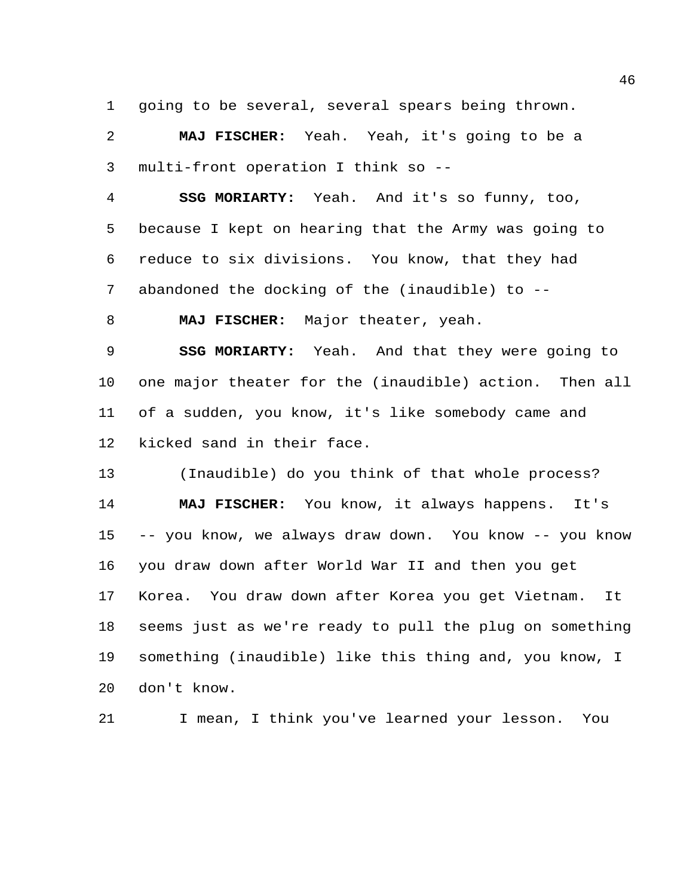going to be several, several spears being thrown.

 **MAJ FISCHER:** Yeah. Yeah, it's going to be a multi-front operation I think so --

 **SSG MORIARTY:** Yeah. And it's so funny, too, because I kept on hearing that the Army was going to reduce to six divisions. You know, that they had abandoned the docking of the (inaudible) to --

**MAJ FISCHER:** Major theater, yeah.

 **SSG MORIARTY:** Yeah. And that they were going to one major theater for the (inaudible) action. Then all of a sudden, you know, it's like somebody came and kicked sand in their face.

 (Inaudible) do you think of that whole process? **MAJ FISCHER:** You know, it always happens. It's -- you know, we always draw down. You know -- you know you draw down after World War II and then you get Korea. You draw down after Korea you get Vietnam. It seems just as we're ready to pull the plug on something something (inaudible) like this thing and, you know, I don't know.

I mean, I think you've learned your lesson. You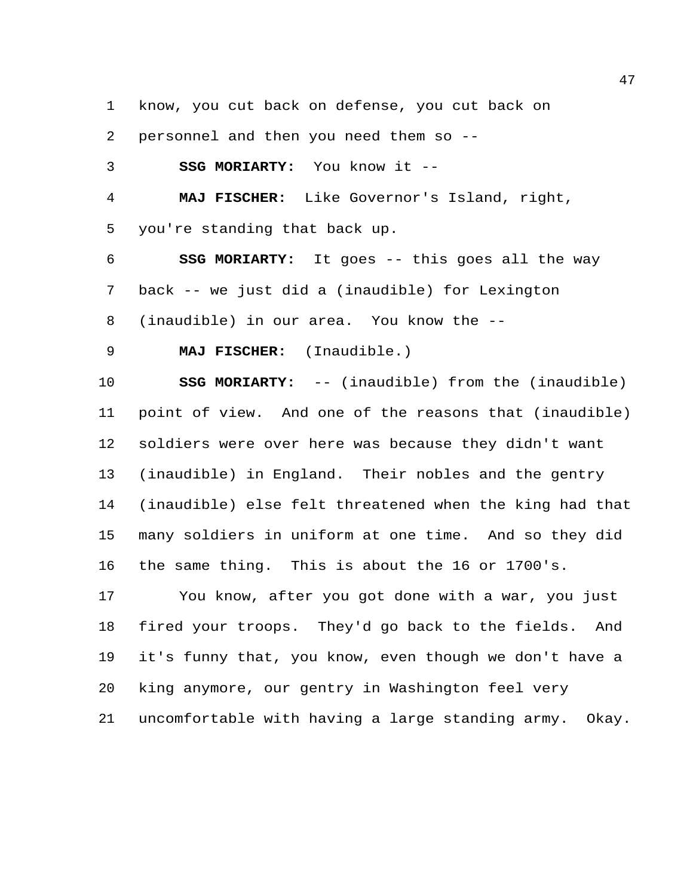know, you cut back on defense, you cut back on

personnel and then you need them so --

**SSG MORIARTY:** You know it --

 **MAJ FISCHER:** Like Governor's Island, right, you're standing that back up.

 **SSG MORIARTY:** It goes -- this goes all the way back -- we just did a (inaudible) for Lexington (inaudible) in our area. You know the --

**MAJ FISCHER:** (Inaudible.)

 **SSG MORIARTY:** -- (inaudible) from the (inaudible) point of view. And one of the reasons that (inaudible) soldiers were over here was because they didn't want (inaudible) in England. Their nobles and the gentry (inaudible) else felt threatened when the king had that many soldiers in uniform at one time. And so they did the same thing. This is about the 16 or 1700's.

 You know, after you got done with a war, you just fired your troops. They'd go back to the fields. And it's funny that, you know, even though we don't have a king anymore, our gentry in Washington feel very uncomfortable with having a large standing army. Okay.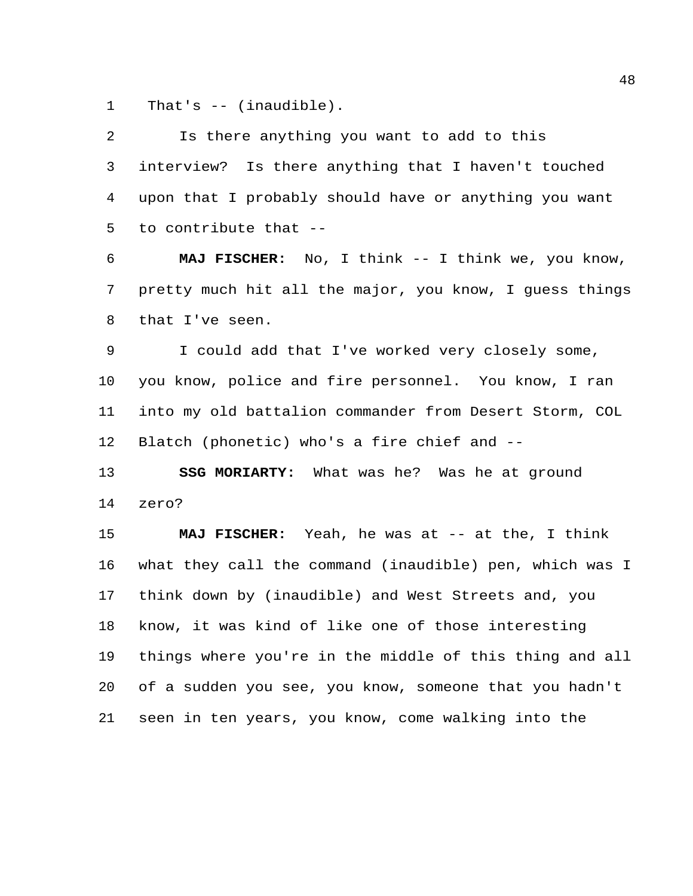That's -- (inaudible).

| 2  | Is there anything you want to add to this               |
|----|---------------------------------------------------------|
| 3  | interview? Is there anything that I haven't touched     |
| 4  | upon that I probably should have or anything you want   |
| 5  | to contribute that --                                   |
| 6  | MAJ FISCHER: No, I think -- I think we, you know,       |
| 7  | pretty much hit all the major, you know, I quess things |
| 8  | that I've seen.                                         |
| 9  | I could add that I've worked very closely some,         |
| 10 | you know, police and fire personnel. You know, I ran    |
| 11 | into my old battalion commander from Desert Storm, COL  |
| 12 | Blatch (phonetic) who's a fire chief and --             |
| 13 | SSG MORIARTY: What was he? Was he at ground             |
| 14 | zero?                                                   |
| 15 | MAJ FISCHER: Yeah, he was at -- at the, I think         |
| 16 | what they call the command (inaudible) pen, which was I |
| 17 | think down by (inaudible) and West Streets and, you     |
| 18 | know, it was kind of like one of those interesting      |
| 19 | things where you're in the middle of this thing and all |
| 20 | of a sudden you see, you know, someone that you hadn't  |
| 21 | seen in ten years, you know, come walking into the      |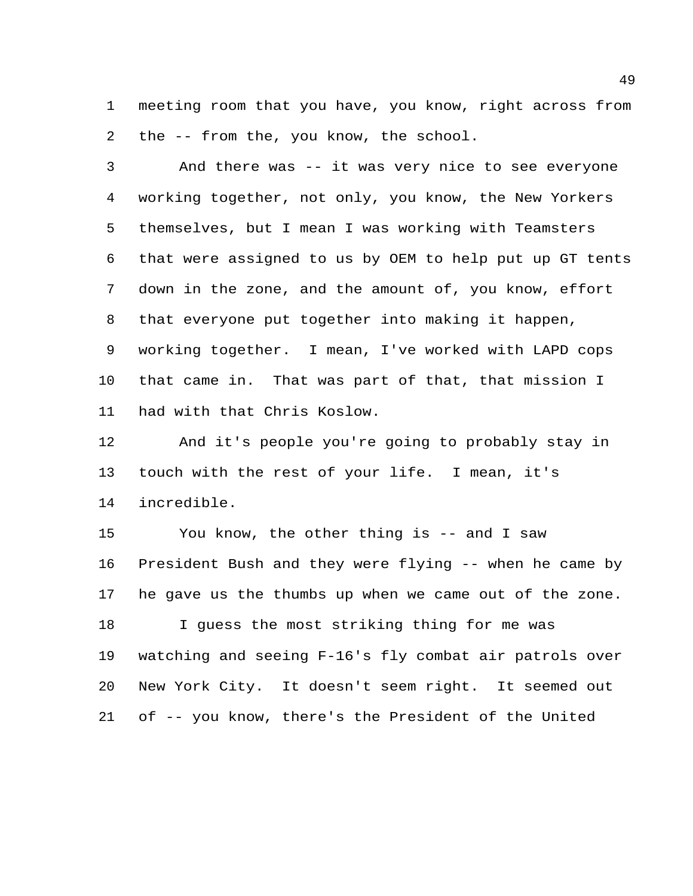meeting room that you have, you know, right across from the -- from the, you know, the school.

 And there was -- it was very nice to see everyone working together, not only, you know, the New Yorkers themselves, but I mean I was working with Teamsters that were assigned to us by OEM to help put up GT tents down in the zone, and the amount of, you know, effort that everyone put together into making it happen, working together. I mean, I've worked with LAPD cops that came in. That was part of that, that mission I had with that Chris Koslow.

 And it's people you're going to probably stay in touch with the rest of your life. I mean, it's incredible.

 You know, the other thing is -- and I saw President Bush and they were flying -- when he came by he gave us the thumbs up when we came out of the zone. I guess the most striking thing for me was watching and seeing F-16's fly combat air patrols over New York City. It doesn't seem right. It seemed out of -- you know, there's the President of the United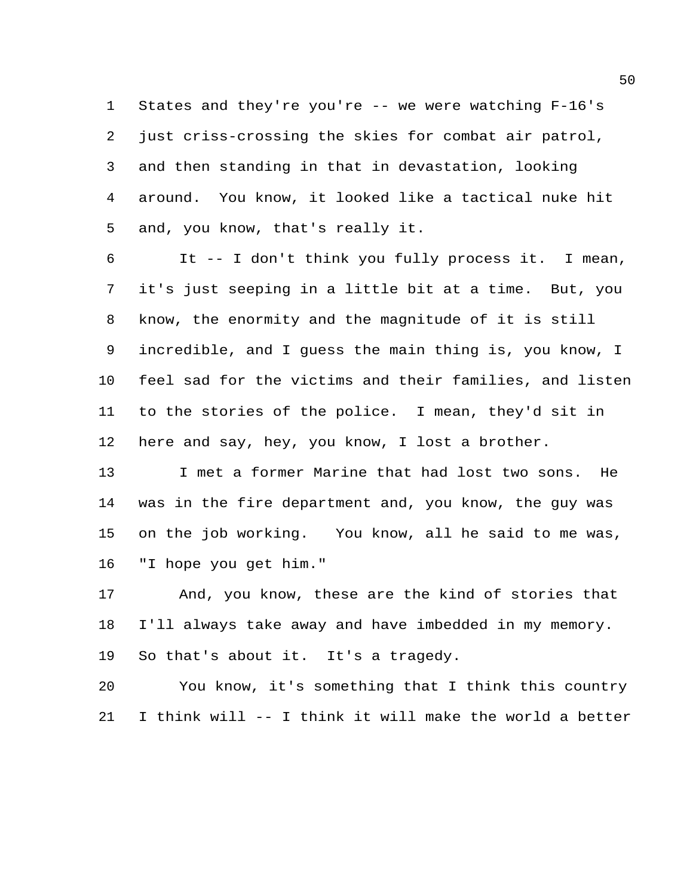States and they're you're -- we were watching F-16's just criss-crossing the skies for combat air patrol, and then standing in that in devastation, looking around. You know, it looked like a tactical nuke hit and, you know, that's really it.

 It -- I don't think you fully process it. I mean, it's just seeping in a little bit at a time. But, you know, the enormity and the magnitude of it is still incredible, and I guess the main thing is, you know, I feel sad for the victims and their families, and listen to the stories of the police. I mean, they'd sit in here and say, hey, you know, I lost a brother.

 I met a former Marine that had lost two sons. He was in the fire department and, you know, the guy was on the job working. You know, all he said to me was, "I hope you get him."

 And, you know, these are the kind of stories that I'll always take away and have imbedded in my memory. So that's about it. It's a tragedy.

 You know, it's something that I think this country I think will -- I think it will make the world a better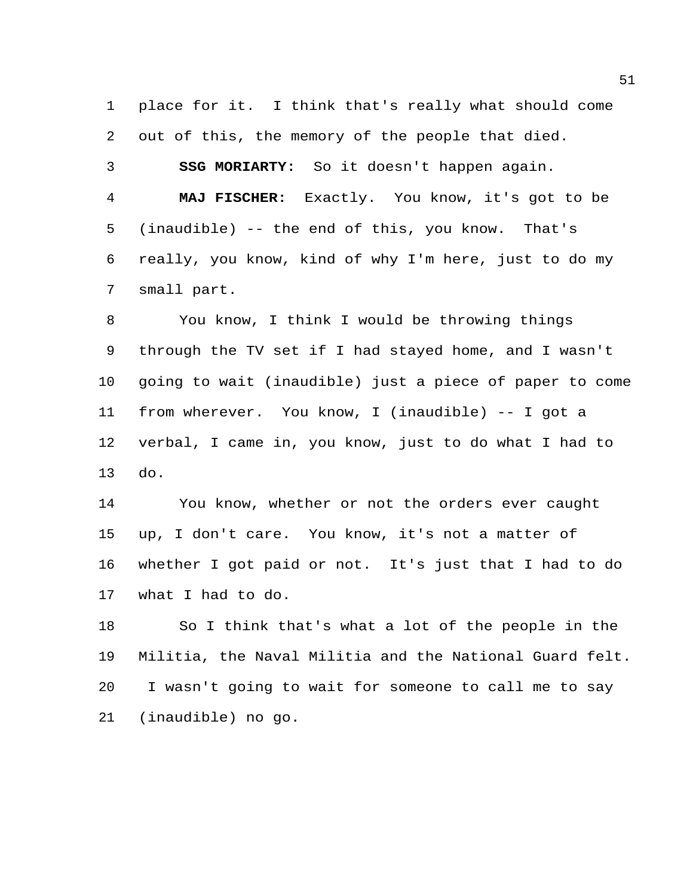place for it. I think that's really what should come out of this, the memory of the people that died. **SSG MORIARTY:** So it doesn't happen again. **MAJ FISCHER:** Exactly. You know, it's got to be (inaudible) -- the end of this, you know. That's really, you know, kind of why I'm here, just to do my small part.

 You know, I think I would be throwing things through the TV set if I had stayed home, and I wasn't going to wait (inaudible) just a piece of paper to come from wherever. You know, I (inaudible) -- I got a verbal, I came in, you know, just to do what I had to do.

 You know, whether or not the orders ever caught up, I don't care. You know, it's not a matter of whether I got paid or not. It's just that I had to do what I had to do.

 So I think that's what a lot of the people in the Militia, the Naval Militia and the National Guard felt. I wasn't going to wait for someone to call me to say (inaudible) no go.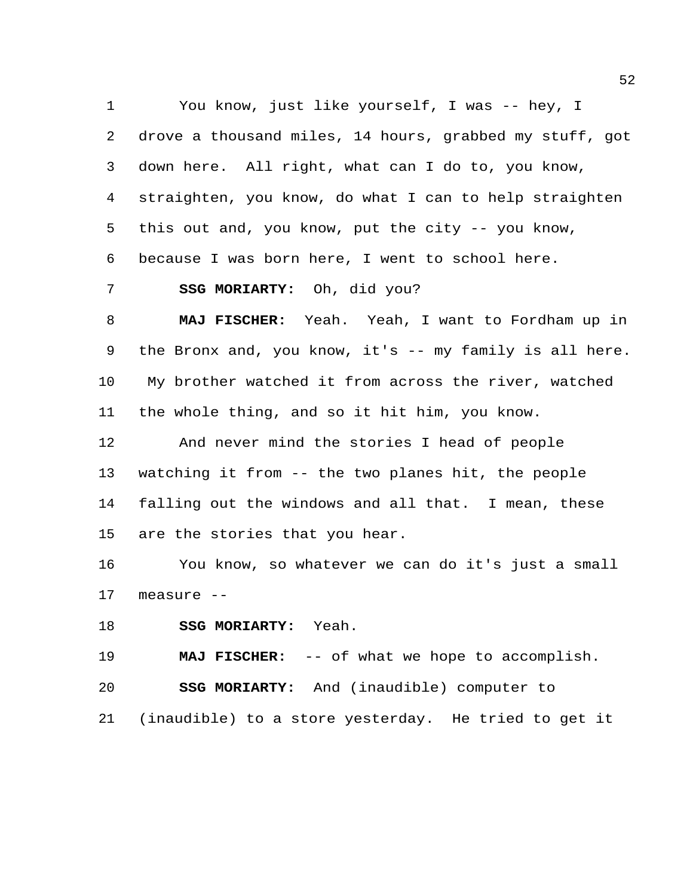You know, just like yourself, I was -- hey, I drove a thousand miles, 14 hours, grabbed my stuff, got down here. All right, what can I do to, you know, straighten, you know, do what I can to help straighten this out and, you know, put the city -- you know, because I was born here, I went to school here.

**SSG MORIARTY:** Oh, did you?

 **MAJ FISCHER:** Yeah. Yeah, I want to Fordham up in the Bronx and, you know, it's -- my family is all here. My brother watched it from across the river, watched the whole thing, and so it hit him, you know.

 And never mind the stories I head of people watching it from -- the two planes hit, the people falling out the windows and all that. I mean, these are the stories that you hear.

 You know, so whatever we can do it's just a small measure --

**SSG MORIARTY:** Yeah.

**MAJ FISCHER:** -- of what we hope to accomplish.

**SSG MORIARTY:** And (inaudible) computer to

(inaudible) to a store yesterday. He tried to get it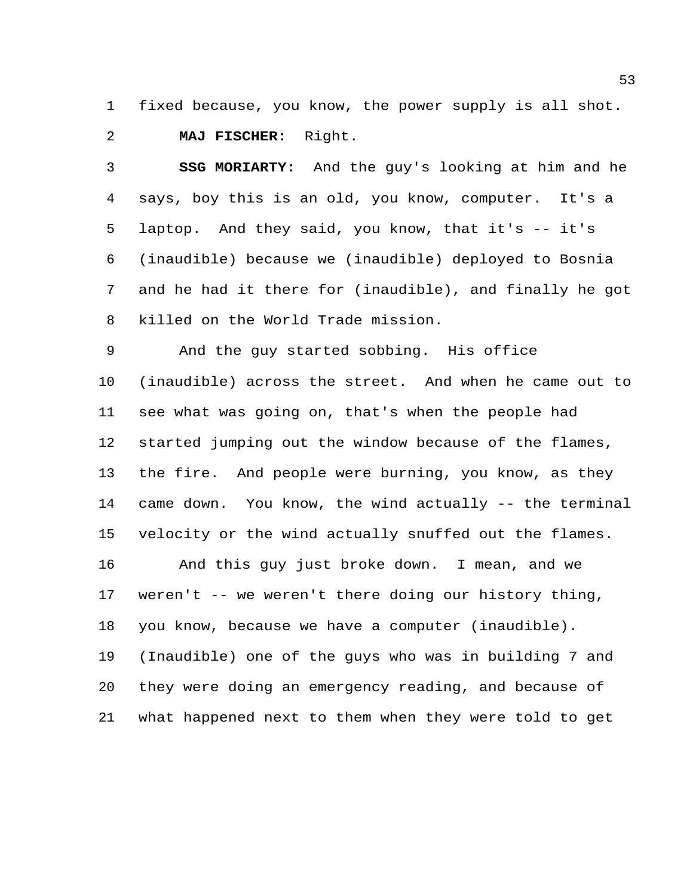fixed because, you know, the power supply is all shot.

**MAJ FISCHER:** Right.

 **SSG MORIARTY:** And the guy's looking at him and he says, boy this is an old, you know, computer. It's a laptop. And they said, you know, that it's -- it's (inaudible) because we (inaudible) deployed to Bosnia and he had it there for (inaudible), and finally he got killed on the World Trade mission.

 And the guy started sobbing. His office (inaudible) across the street. And when he came out to see what was going on, that's when the people had started jumping out the window because of the flames, the fire. And people were burning, you know, as they came down. You know, the wind actually -- the terminal velocity or the wind actually snuffed out the flames. And this guy just broke down. I mean, and we weren't -- we weren't there doing our history thing, you know, because we have a computer (inaudible). (Inaudible) one of the guys who was in building 7 and they were doing an emergency reading, and because of what happened next to them when they were told to get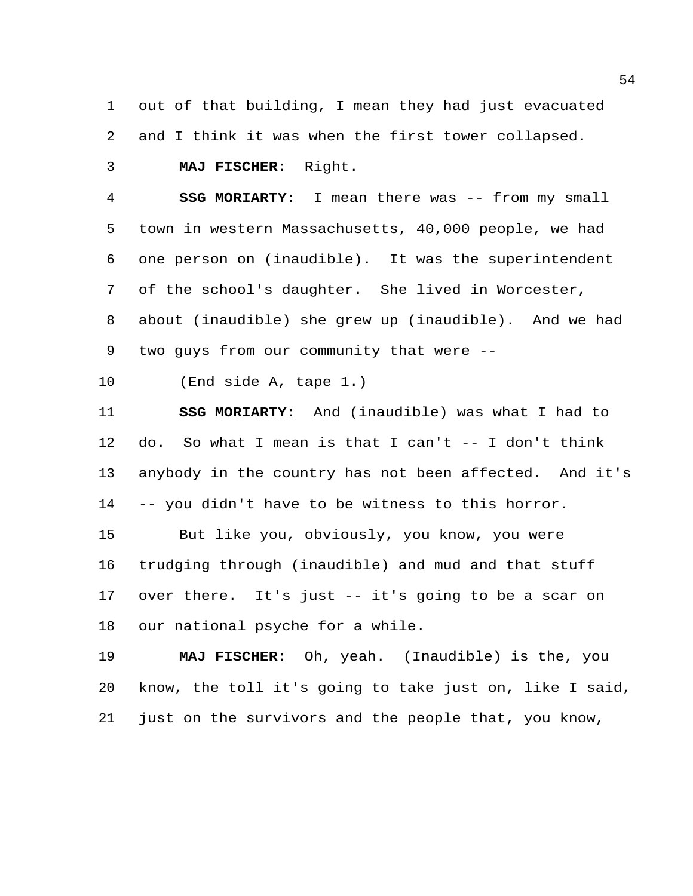out of that building, I mean they had just evacuated and I think it was when the first tower collapsed.

**MAJ FISCHER:** Right.

 **SSG MORIARTY:** I mean there was -- from my small town in western Massachusetts, 40,000 people, we had one person on (inaudible). It was the superintendent of the school's daughter. She lived in Worcester, about (inaudible) she grew up (inaudible). And we had two guys from our community that were --

(End side A, tape 1.)

 **SSG MORIARTY:** And (inaudible) was what I had to do. So what I mean is that I can't -- I don't think anybody in the country has not been affected. And it's -- you didn't have to be witness to this horror.

 But like you, obviously, you know, you were trudging through (inaudible) and mud and that stuff over there. It's just -- it's going to be a scar on our national psyche for a while.

 **MAJ FISCHER:** Oh, yeah. (Inaudible) is the, you know, the toll it's going to take just on, like I said, just on the survivors and the people that, you know,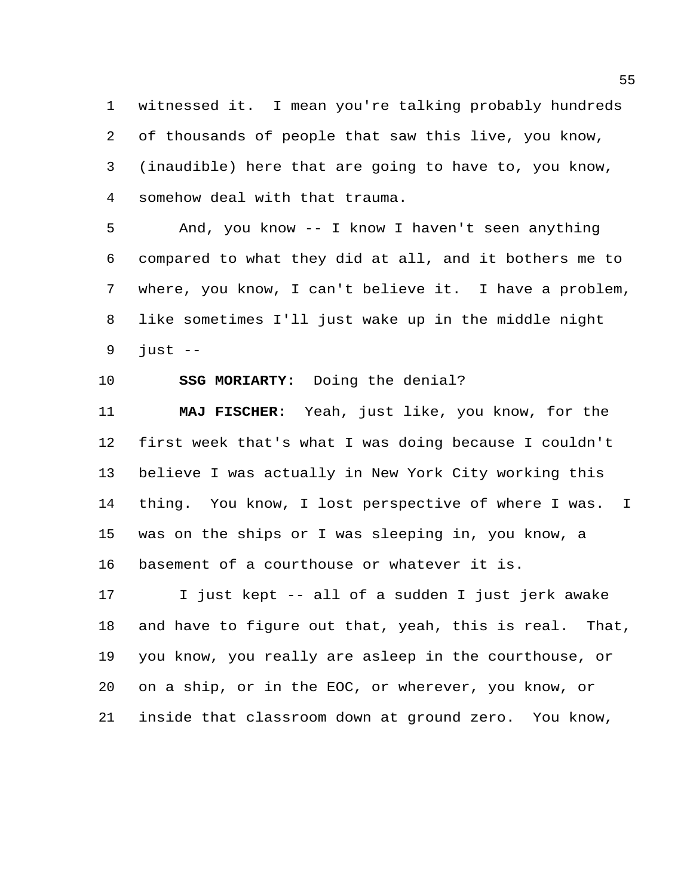witnessed it. I mean you're talking probably hundreds of thousands of people that saw this live, you know, (inaudible) here that are going to have to, you know, somehow deal with that trauma.

 And, you know -- I know I haven't seen anything compared to what they did at all, and it bothers me to where, you know, I can't believe it. I have a problem, like sometimes I'll just wake up in the middle night just  $-$ 

**SSG MORIARTY:** Doing the denial?

 **MAJ FISCHER:** Yeah, just like, you know, for the first week that's what I was doing because I couldn't believe I was actually in New York City working this thing. You know, I lost perspective of where I was. I was on the ships or I was sleeping in, you know, a basement of a courthouse or whatever it is.

 I just kept -- all of a sudden I just jerk awake and have to figure out that, yeah, this is real. That, you know, you really are asleep in the courthouse, or on a ship, or in the EOC, or wherever, you know, or inside that classroom down at ground zero. You know,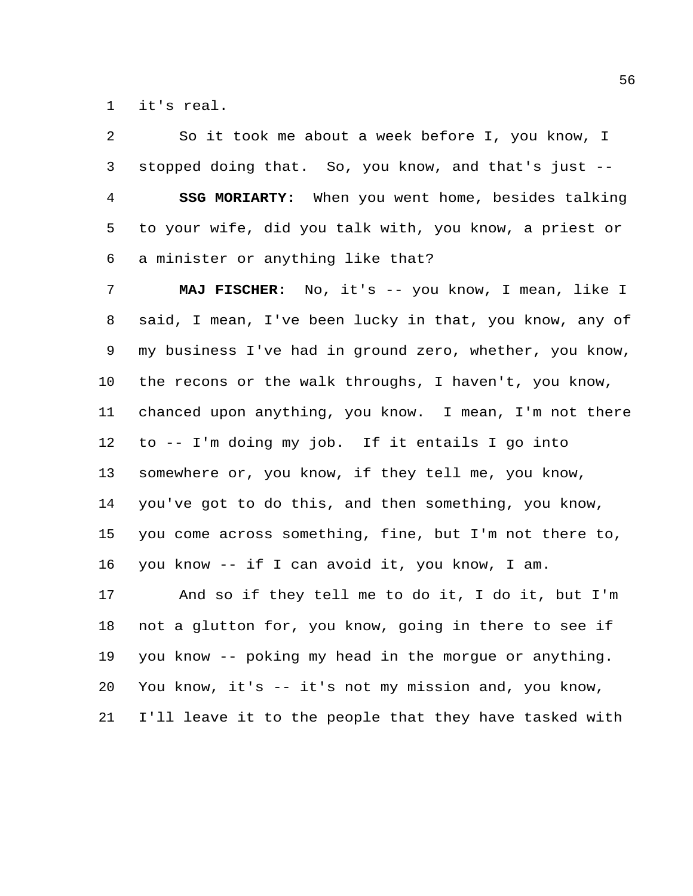it's real.

 So it took me about a week before I, you know, I stopped doing that. So, you know, and that's just -- **SSG MORIARTY:** When you went home, besides talking to your wife, did you talk with, you know, a priest or a minister or anything like that?

 **MAJ FISCHER:** No, it's -- you know, I mean, like I said, I mean, I've been lucky in that, you know, any of my business I've had in ground zero, whether, you know, the recons or the walk throughs, I haven't, you know, chanced upon anything, you know. I mean, I'm not there to -- I'm doing my job. If it entails I go into somewhere or, you know, if they tell me, you know, you've got to do this, and then something, you know, you come across something, fine, but I'm not there to, you know -- if I can avoid it, you know, I am. And so if they tell me to do it, I do it, but I'm not a glutton for, you know, going in there to see if you know -- poking my head in the morgue or anything. You know, it's -- it's not my mission and, you know, I'll leave it to the people that they have tasked with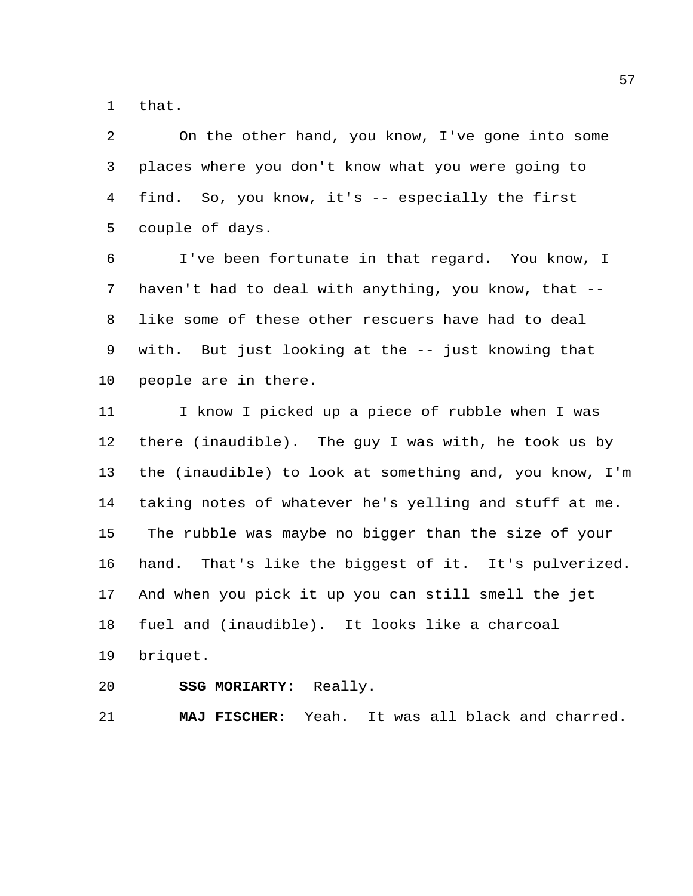that.

 On the other hand, you know, I've gone into some places where you don't know what you were going to find. So, you know, it's -- especially the first couple of days.

 I've been fortunate in that regard. You know, I haven't had to deal with anything, you know, that -- like some of these other rescuers have had to deal with. But just looking at the -- just knowing that people are in there.

 I know I picked up a piece of rubble when I was there (inaudible). The guy I was with, he took us by the (inaudible) to look at something and, you know, I'm taking notes of whatever he's yelling and stuff at me. The rubble was maybe no bigger than the size of your hand. That's like the biggest of it. It's pulverized. And when you pick it up you can still smell the jet fuel and (inaudible). It looks like a charcoal briquet.

**SSG MORIARTY:** Really.

**MAJ FISCHER:** Yeah. It was all black and charred.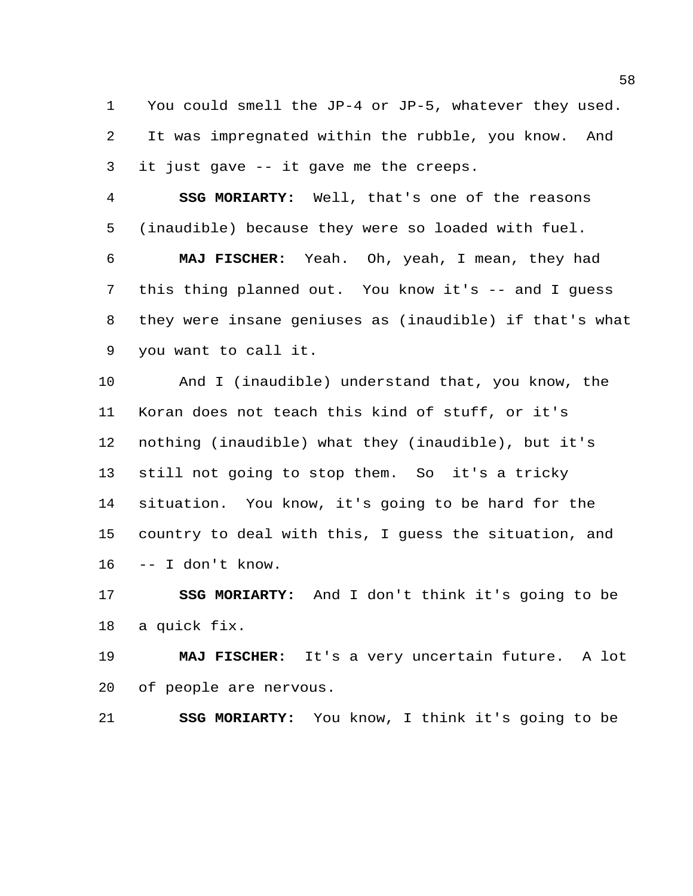You could smell the JP-4 or JP-5, whatever they used. It was impregnated within the rubble, you know. And it just gave -- it gave me the creeps.

 **SSG MORIARTY:** Well, that's one of the reasons (inaudible) because they were so loaded with fuel.

 **MAJ FISCHER:** Yeah. Oh, yeah, I mean, they had this thing planned out. You know it's -- and I guess they were insane geniuses as (inaudible) if that's what you want to call it.

 And I (inaudible) understand that, you know, the Koran does not teach this kind of stuff, or it's nothing (inaudible) what they (inaudible), but it's still not going to stop them. So it's a tricky situation. You know, it's going to be hard for the country to deal with this, I guess the situation, and -- I don't know.

 **SSG MORIARTY:** And I don't think it's going to be a quick fix.

 **MAJ FISCHER:** It's a very uncertain future. A lot of people are nervous.

**SSG MORIARTY:** You know, I think it's going to be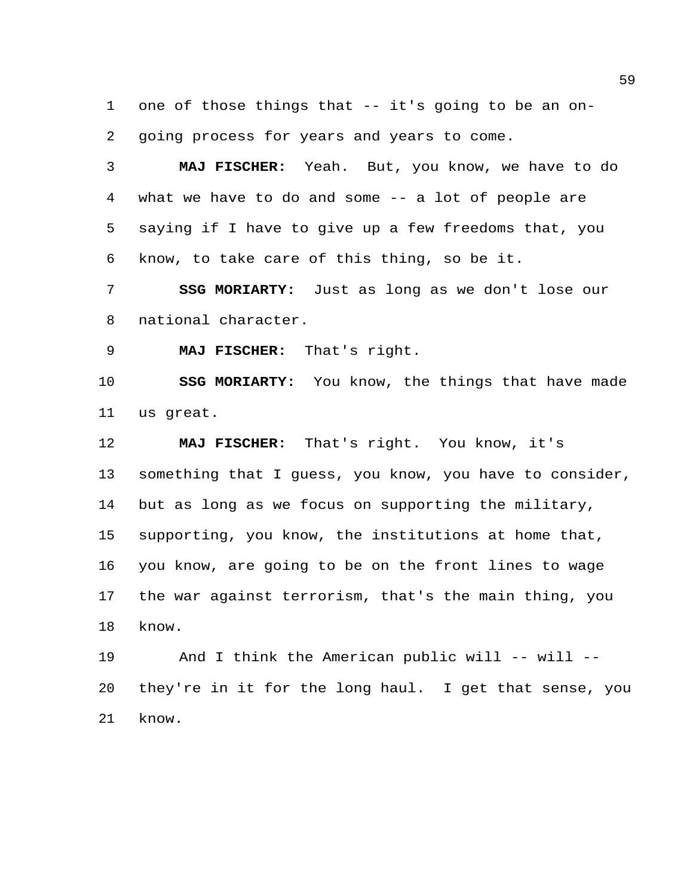one of those things that -- it's going to be an on-going process for years and years to come.

 **MAJ FISCHER:** Yeah. But, you know, we have to do what we have to do and some -- a lot of people are saying if I have to give up a few freedoms that, you know, to take care of this thing, so be it.

 **SSG MORIARTY:** Just as long as we don't lose our national character.

**MAJ FISCHER:** That's right.

 **SSG MORIARTY:** You know, the things that have made us great.

 **MAJ FISCHER:** That's right. You know, it's something that I guess, you know, you have to consider, but as long as we focus on supporting the military, supporting, you know, the institutions at home that, you know, are going to be on the front lines to wage the war against terrorism, that's the main thing, you know.

 And I think the American public will -- will -- they're in it for the long haul. I get that sense, you know.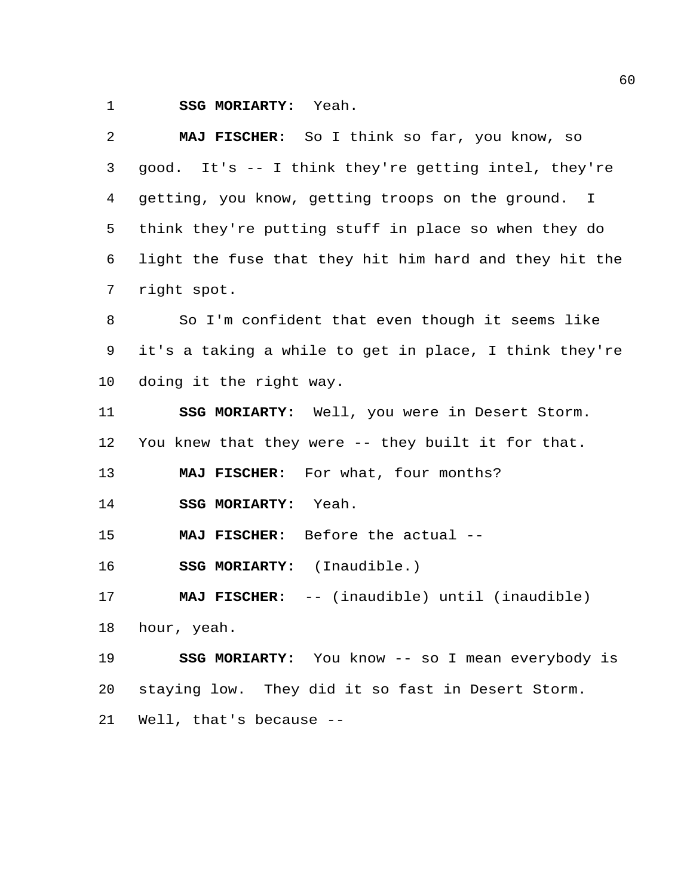**SSG MORIARTY:** Yeah.

| 2               | MAJ FISCHER: So I think so far, you know, so            |
|-----------------|---------------------------------------------------------|
| 3               | good. It's -- I think they're getting intel, they're    |
| 4               | getting, you know, getting troops on the ground. I      |
| 5               | think they're putting stuff in place so when they do    |
| 6               | light the fuse that they hit him hard and they hit the  |
| 7               | right spot.                                             |
| 8               | So I'm confident that even though it seems like         |
| 9               | it's a taking a while to get in place, I think they're  |
| 10              | doing it the right way.                                 |
| 11              | SSG MORIARTY: Well, you were in Desert Storm.           |
| 12 <sub>1</sub> | You knew that they were -- they built it for that.      |
| 13              | MAJ FISCHER: For what, four months?                     |
| 14              | SSG MORIARTY: Yeah.                                     |
| 15              | MAJ FISCHER: Before the actual --                       |
| 16              | SSG MORIARTY: (Inaudible.)                              |
| 17              | MAJ FISCHER: -- (inaudible) until (inaudible)           |
| 18              | hour, yeah.                                             |
| 19              | <b>SSG MORIARTY:</b> You know -- so I mean everybody is |
| 20              | staying low. They did it so fast in Desert Storm.       |
| 21              | Well, that's because --                                 |
|                 |                                                         |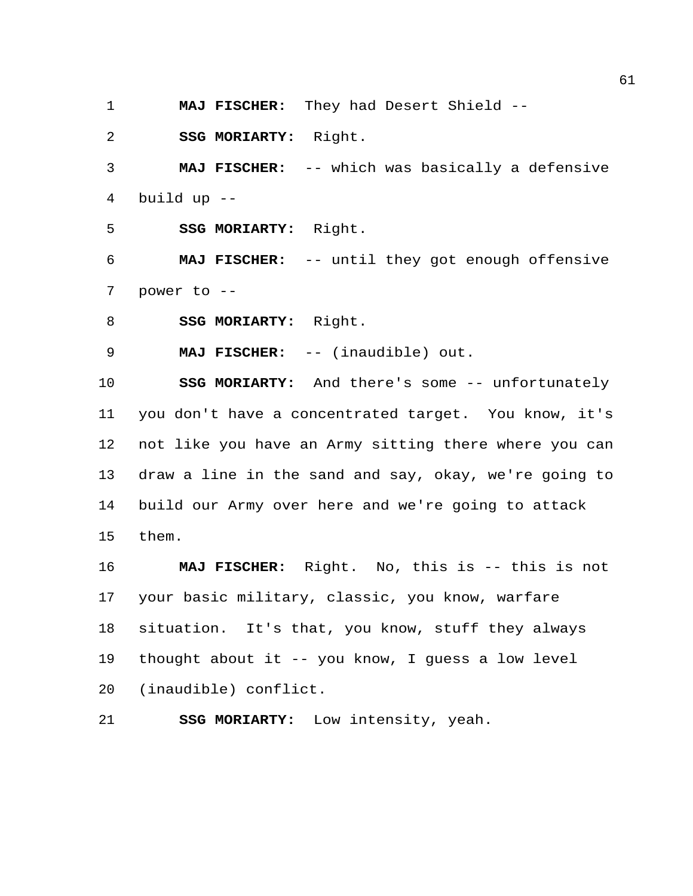**MAJ FISCHER:** They had Desert Shield --

**SSG MORIARTY:** Right.

 **MAJ FISCHER:** -- which was basically a defensive build up --

**SSG MORIARTY:** Right.

 **MAJ FISCHER:** -- until they got enough offensive power to --

**SSG MORIARTY:** Right.

**MAJ FISCHER:** -- (inaudible) out.

 **SSG MORIARTY:** And there's some -- unfortunately you don't have a concentrated target. You know, it's not like you have an Army sitting there where you can draw a line in the sand and say, okay, we're going to build our Army over here and we're going to attack them.

 **MAJ FISCHER:** Right. No, this is -- this is not your basic military, classic, you know, warfare situation. It's that, you know, stuff they always thought about it -- you know, I guess a low level (inaudible) conflict.

**SSG MORIARTY:** Low intensity, yeah.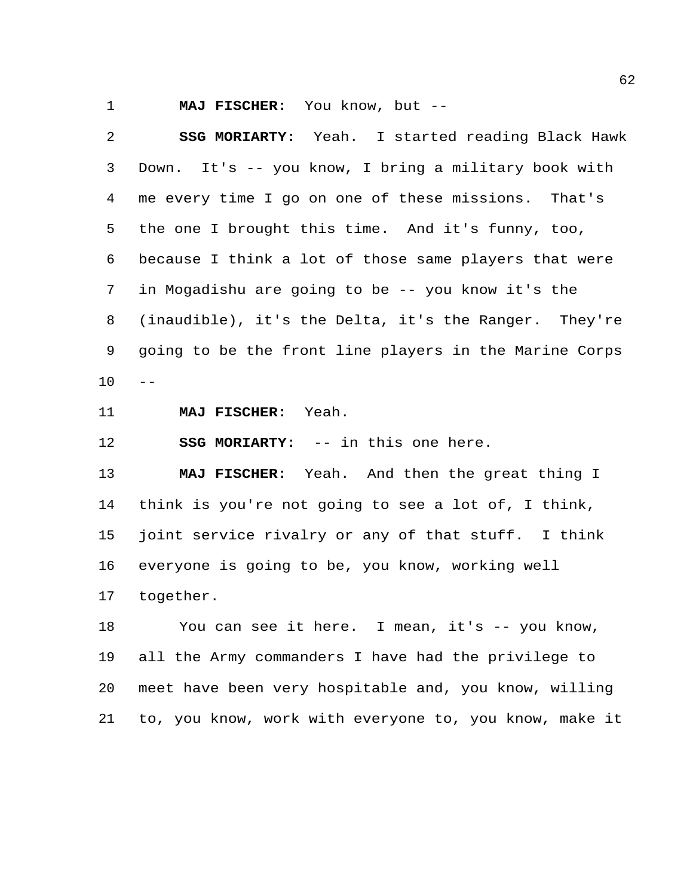**MAJ FISCHER:** You know, but --

 **SSG MORIARTY:** Yeah. I started reading Black Hawk Down. It's -- you know, I bring a military book with me every time I go on one of these missions. That's the one I brought this time. And it's funny, too, because I think a lot of those same players that were in Mogadishu are going to be -- you know it's the (inaudible), it's the Delta, it's the Ranger. They're going to be the front line players in the Marine Corps  $10 - -$ 

**MAJ FISCHER:** Yeah.

**SSG MORIARTY:** -- in this one here.

 **MAJ FISCHER:** Yeah. And then the great thing I think is you're not going to see a lot of, I think, joint service rivalry or any of that stuff. I think everyone is going to be, you know, working well together.

 You can see it here. I mean, it's -- you know, all the Army commanders I have had the privilege to meet have been very hospitable and, you know, willing to, you know, work with everyone to, you know, make it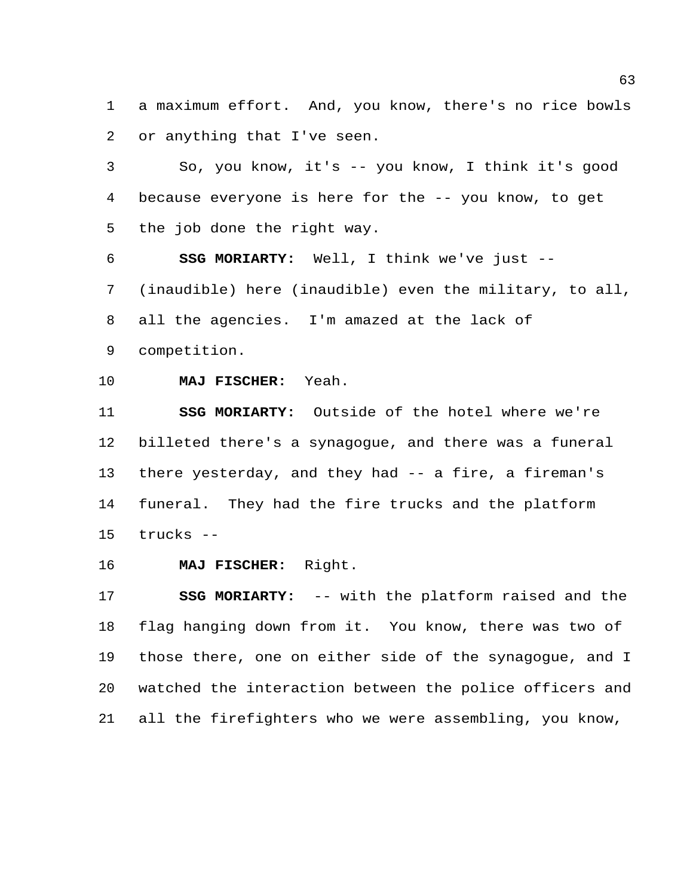a maximum effort. And, you know, there's no rice bowls or anything that I've seen.

 So, you know, it's -- you know, I think it's good because everyone is here for the -- you know, to get the job done the right way.

 **SSG MORIARTY:** Well, I think we've just -- (inaudible) here (inaudible) even the military, to all, all the agencies. I'm amazed at the lack of competition.

**MAJ FISCHER:** Yeah.

 **SSG MORIARTY:** Outside of the hotel where we're billeted there's a synagogue, and there was a funeral there yesterday, and they had -- a fire, a fireman's funeral. They had the fire trucks and the platform trucks --

**MAJ FISCHER:** Right.

 **SSG MORIARTY:** -- with the platform raised and the flag hanging down from it. You know, there was two of those there, one on either side of the synagogue, and I watched the interaction between the police officers and all the firefighters who we were assembling, you know,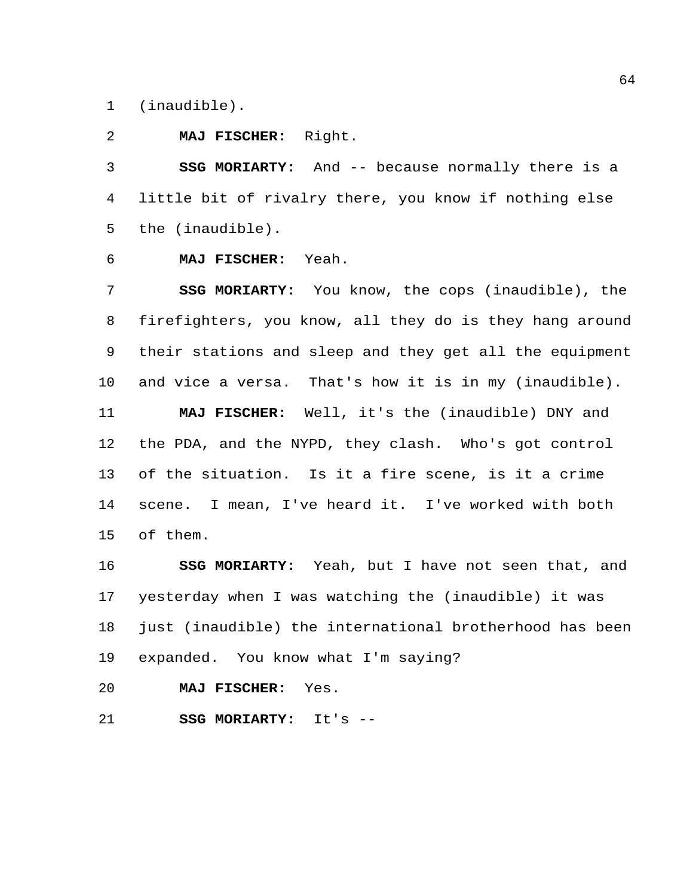(inaudible).

## **MAJ FISCHER:** Right.

 **SSG MORIARTY:** And -- because normally there is a little bit of rivalry there, you know if nothing else the (inaudible).

**MAJ FISCHER:** Yeah.

 **SSG MORIARTY:** You know, the cops (inaudible), the firefighters, you know, all they do is they hang around their stations and sleep and they get all the equipment and vice a versa. That's how it is in my (inaudible). **MAJ FISCHER:** Well, it's the (inaudible) DNY and the PDA, and the NYPD, they clash. Who's got control of the situation. Is it a fire scene, is it a crime scene. I mean, I've heard it. I've worked with both of them.

 **SSG MORIARTY:** Yeah, but I have not seen that, and yesterday when I was watching the (inaudible) it was just (inaudible) the international brotherhood has been expanded. You know what I'm saying?

**MAJ FISCHER:** Yes.

**SSG MORIARTY:** It's --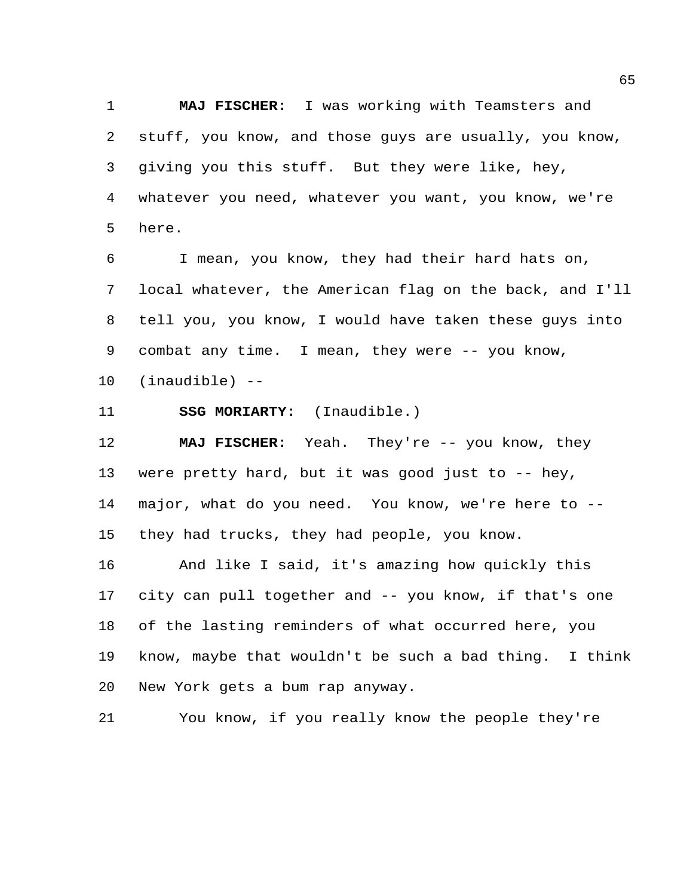**MAJ FISCHER:** I was working with Teamsters and stuff, you know, and those guys are usually, you know, giving you this stuff. But they were like, hey, whatever you need, whatever you want, you know, we're here.

 I mean, you know, they had their hard hats on, local whatever, the American flag on the back, and I'll tell you, you know, I would have taken these guys into 9 combat any time. I mean, they were -- you know, (inaudible) --

**SSG MORIARTY:** (Inaudible.)

 **MAJ FISCHER:** Yeah. They're -- you know, they were pretty hard, but it was good just to -- hey, major, what do you need. You know, we're here to -- they had trucks, they had people, you know.

 And like I said, it's amazing how quickly this city can pull together and -- you know, if that's one of the lasting reminders of what occurred here, you know, maybe that wouldn't be such a bad thing. I think New York gets a bum rap anyway.

You know, if you really know the people they're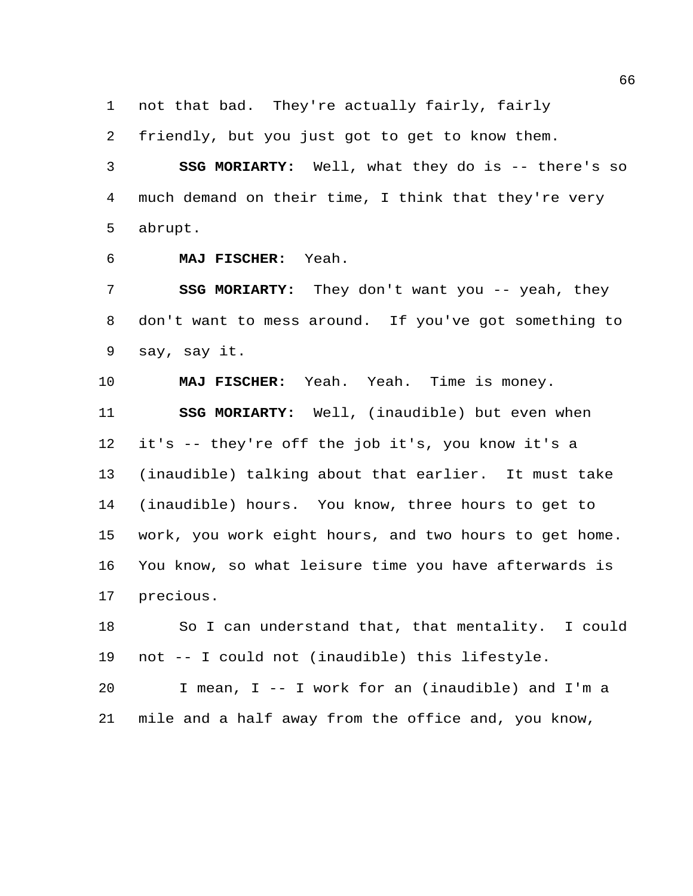not that bad. They're actually fairly, fairly

friendly, but you just got to get to know them.

 **SSG MORIARTY:** Well, what they do is -- there's so much demand on their time, I think that they're very abrupt.

**MAJ FISCHER:** Yeah.

**SSG MORIARTY:** They don't want you -- yeah, they don't want to mess around. If you've got something to say, say it.

 **MAJ FISCHER:** Yeah. Yeah. Time is money. **SSG MORIARTY:** Well, (inaudible) but even when it's -- they're off the job it's, you know it's a (inaudible) talking about that earlier. It must take (inaudible) hours. You know, three hours to get to work, you work eight hours, and two hours to get home. You know, so what leisure time you have afterwards is precious.

 So I can understand that, that mentality. I could not -- I could not (inaudible) this lifestyle.

 I mean, I -- I work for an (inaudible) and I'm a mile and a half away from the office and, you know,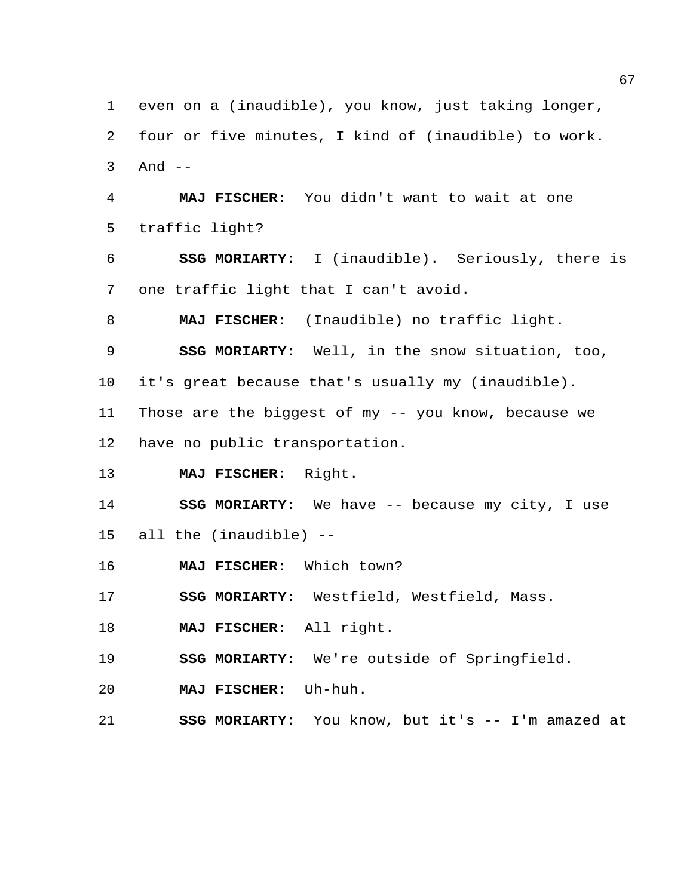even on a (inaudible), you know, just taking longer, four or five minutes, I kind of (inaudible) to work. And -- **MAJ FISCHER:** You didn't want to wait at one traffic light? **SSG MORIARTY:** I (inaudible). Seriously, there is one traffic light that I can't avoid. **MAJ FISCHER:** (Inaudible) no traffic light. **SSG MORIARTY:** Well, in the snow situation, too, it's great because that's usually my (inaudible). Those are the biggest of my -- you know, because we have no public transportation. **MAJ FISCHER:** Right. **SSG MORIARTY:** We have -- because my city, I use all the (inaudible) -- **MAJ FISCHER:** Which town? **SSG MORIARTY:** Westfield, Westfield, Mass. **MAJ FISCHER:** All right. **SSG MORIARTY:** We're outside of Springfield. **MAJ FISCHER:** Uh-huh. **SSG MORIARTY:** You know, but it's -- I'm amazed at